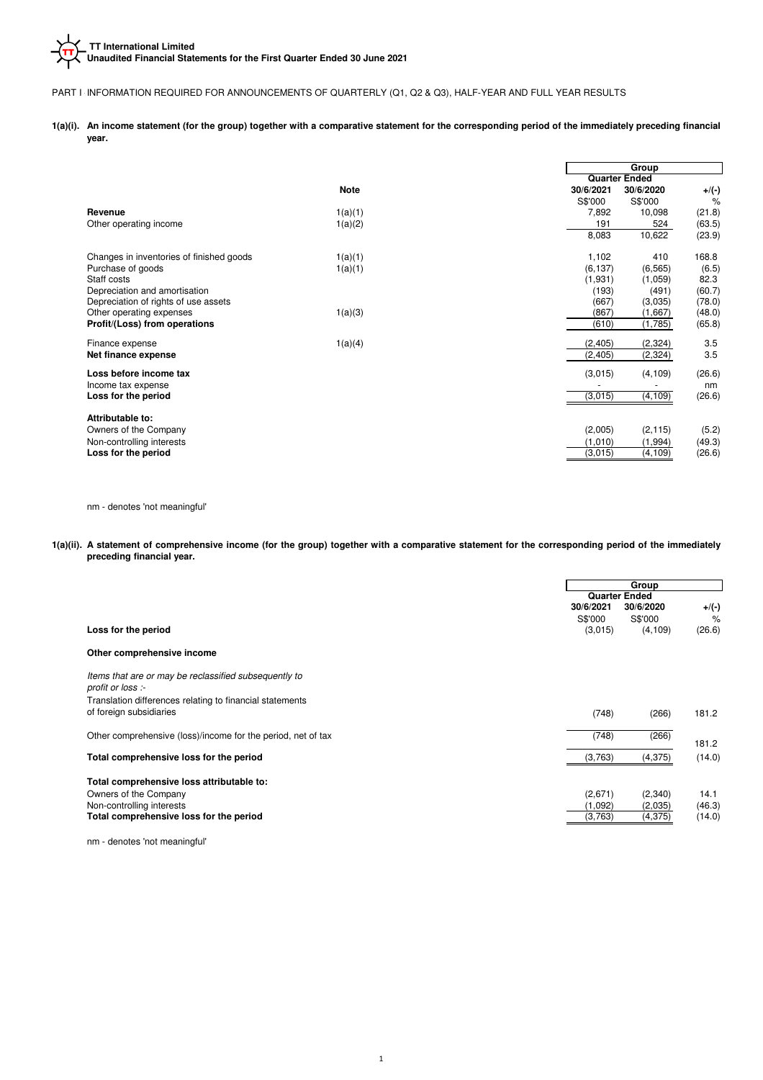### PART I - INFORMATION REQUIRED FOR ANNOUNCEMENTS OF QUARTERLY (Q1, Q2 & Q3), HALF-YEAR AND FULL YEAR RESULTS

**1(a)(i). An income statement (for the group) together with a comparative statement for the corresponding period of the immediately preceding financial year.**

|                                          |             | Group                              |
|------------------------------------------|-------------|------------------------------------|
|                                          |             | <b>Quarter Ended</b>               |
|                                          | <b>Note</b> | 30/6/2021<br>30/6/2020<br>$+$ /(-) |
|                                          |             | S\$'000<br>S\$'000<br>%            |
| Revenue                                  | 1(a)(1)     | (21.8)<br>7,892<br>10,098          |
| Other operating income                   | 1(a)(2)     | (63.5)<br>191<br>524               |
|                                          |             | 10,622<br>8,083<br>(23.9)          |
| Changes in inventories of finished goods | 1(a)(1)     | 1,102<br>410<br>168.8              |
| Purchase of goods                        | 1(a)(1)     | (6, 137)<br>(6.5)<br>(6, 565)      |
| Staff costs                              |             | (1,931)<br>82.3<br>(1,059)         |
| Depreciation and amortisation            |             | (60.7)<br>(193)<br>(491)           |
| Depreciation of rights of use assets     |             | (667)<br>(3,035)<br>(78.0)         |
| Other operating expenses                 | 1(a)(3)     | (867)<br>(48.0)<br>(1,667)         |
| Profit/(Loss) from operations            |             | (610)<br>(1,785)<br>(65.8)         |
| Finance expense                          | 1(a)(4)     | 3.5<br>(2,405)<br>(2, 324)         |
| Net finance expense                      |             | 3.5<br>(2, 324)<br>(2, 405)        |
| Loss before income tax                   |             | (26.6)<br>(3,015)<br>(4, 109)      |
| Income tax expense                       |             | nm                                 |
| Loss for the period                      |             | (26.6)<br>(3,015)<br>(4, 109)      |
| Attributable to:                         |             |                                    |
| Owners of the Company                    |             | (2,005)<br>(5.2)<br>(2, 115)       |
| Non-controlling interests                |             | (1,010)<br>(1, 994)<br>(49.3)      |
| Loss for the period                      |             | (3,015)<br>(4, 109)<br>(26.6)      |
|                                          |             |                                    |

nm - denotes 'not meaningful'

**1(a)(ii). A statement of comprehensive income (for the group) together with a comparative statement for the corresponding period of the immediately preceding financial year.**

|                                                              |           | Group                |          |  |
|--------------------------------------------------------------|-----------|----------------------|----------|--|
|                                                              |           | <b>Quarter Ended</b> |          |  |
|                                                              | 30/6/2021 | 30/6/2020            | $+$ /(-) |  |
|                                                              | S\$'000   | S\$'000              | $\%$     |  |
| Loss for the period                                          | (3,015)   | (4, 109)             | (26.6)   |  |
| Other comprehensive income                                   |           |                      |          |  |
| Items that are or may be reclassified subsequently to        |           |                      |          |  |
| profit or loss :-                                            |           |                      |          |  |
| Translation differences relating to financial statements     |           |                      |          |  |
| of foreign subsidiaries                                      | (748)     | (266)                | 181.2    |  |
| Other comprehensive (loss)/income for the period, net of tax | (748)     | (266)                |          |  |
|                                                              |           |                      | 181.2    |  |
| Total comprehensive loss for the period                      | (3,763)   | (4,375)              | (14.0)   |  |
| Total comprehensive loss attributable to:                    |           |                      |          |  |
| Owners of the Company                                        | (2,671)   | (2,340)              | 14.1     |  |
| Non-controlling interests                                    | (1,092)   | (2,035)              | (46.3)   |  |
| Total comprehensive loss for the period                      | (3.763)   | (4,375)              | (14.0)   |  |

nm - denotes 'not meaningful'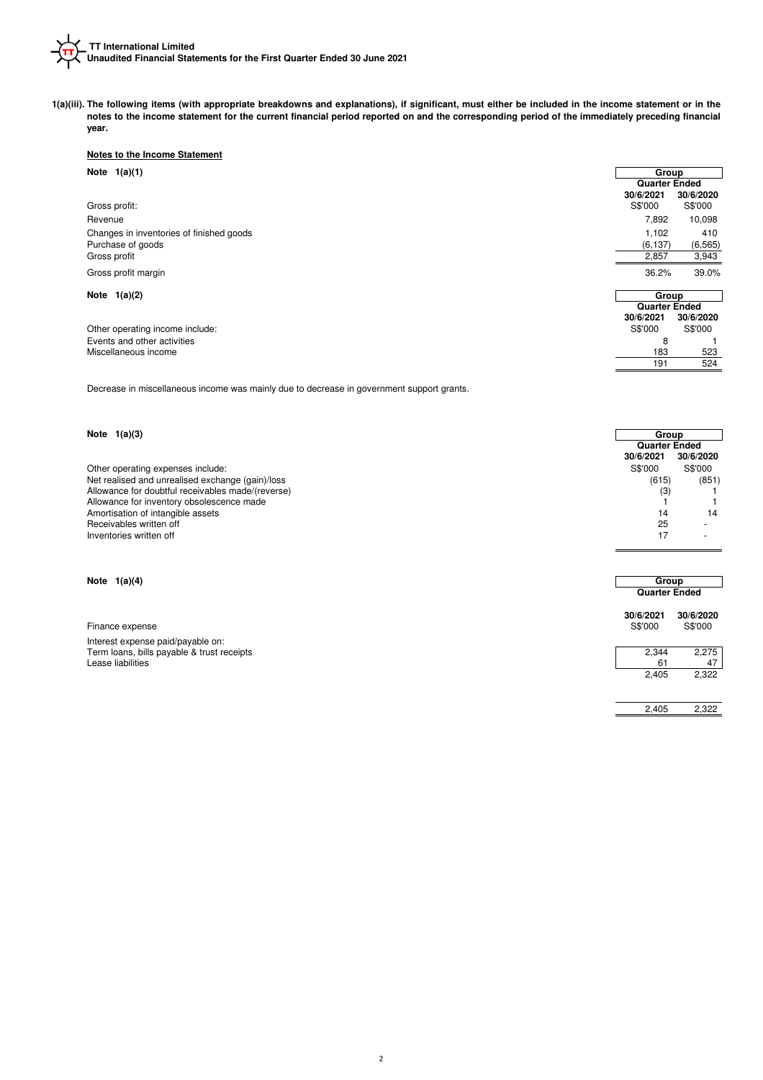

**1(a)(iii). The following items (with appropriate breakdowns and explanations), if significant, must either be included in the income statement or in the notes to the income statement for the current financial period reported on and the corresponding period of the immediately preceding financial year.**

### **Notes to the Income Statement**

| Note $1(a)(1)$                           | Group                |           |
|------------------------------------------|----------------------|-----------|
|                                          | <b>Quarter Ended</b> |           |
|                                          | 30/6/2021            | 30/6/2020 |
| Gross profit:                            | S\$'000              | S\$'000   |
| Revenue                                  | 7,892                | 10,098    |
| Changes in inventories of finished goods | 1,102                | 410       |
| Purchase of goods                        | (6, 137)             | (6, 565)  |
| Gross profit                             | 2,857                | 3,943     |
| Gross profit margin                      | 36.2%                | 39.0%     |
| Note $1(a)(2)$                           | Group                |           |
|                                          | <b>Quarter Ended</b> |           |
|                                          | 30/6/2021            | 30/6/2020 |
| Other operating income include:          | S\$'000              | S\$'000   |
| Events and other activities              | 8                    |           |
| Miscellaneous income                     | 183                  | 523       |
|                                          | 191                  | 524       |

Decrease in miscellaneous income was mainly due to decrease in government support grants.

### **Note 1(a)(3)**

Other operating expenses include: S\$'000 S\$'000 S\$'000 S\$'000 S\$'000 S\$'000 S\$'000 S\$'000 S\$'000 S\$'000 S\$'000<br>Net realised and unrealised exchange (gain)/loss (851) (851) Net realised and unrealised exchange (gain)/loss Allowance for doubtful receivables made/(reverse) and the control of the control of the control of the control of the control of the control of the control of the control of the control of the control of the control of the Allowance for inventory obsolescence made 64 6 1 1 Amortisation of intangible assets (29) 14 14 14 15 and the set of the set of the set of the set of the set of the set of the set of the set of the set of the set of the set of the set of the set of the set of the set of th Receivables written off Inventories written off  $17$ 

### **Note 1(a)(4)**

| Finance expense                            | 30/6/2021<br>S\$'000 | 30/6/2020<br>S\$'000 |
|--------------------------------------------|----------------------|----------------------|
| Interest expense paid/payable on:          |                      |                      |
| Term loans, bills payable & trust receipts | 2.344                | 2.275                |
| Lease liabilities                          | 61                   | 47                   |
|                                            | 2.405                | 2.322                |

**30/6/2021 30/6/2020 30/6/2021 30/6/2020**

**Quarter Ended Quarter Ended Group Group**

**Group Group**

**Quarter Ended**

2,322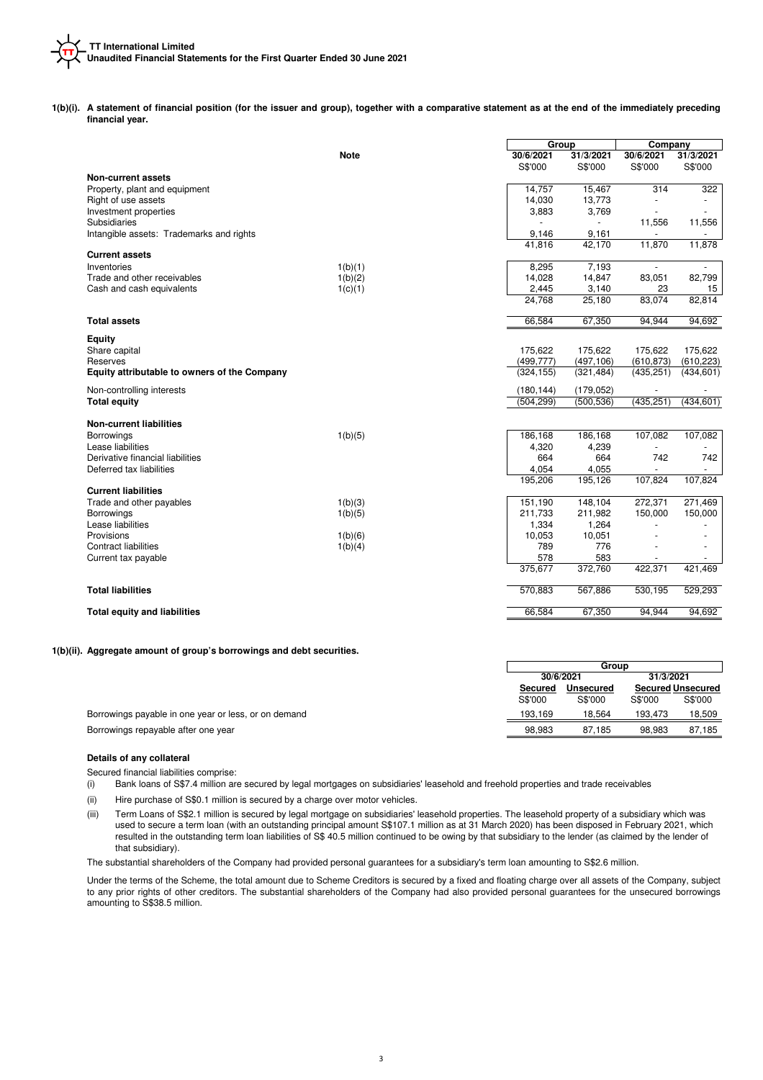**1(b)(i). A statement of financial position (for the issuer and group), together with a comparative statement as at the end of the immediately preceding financial year.**

|                                              |             | Group      |            | Company                |                          |
|----------------------------------------------|-------------|------------|------------|------------------------|--------------------------|
|                                              | <b>Note</b> | 30/6/2021  | 31/3/2021  | 30/6/2021              | 31/3/2021                |
|                                              |             | S\$'000    | S\$'000    | S\$'000                | S\$'000                  |
| <b>Non-current assets</b>                    |             |            |            |                        |                          |
| Property, plant and equipment                |             | 14,757     | 15,467     | 314                    | 322                      |
| Right of use assets                          |             | 14,030     | 13,773     | ÷                      |                          |
| Investment properties                        |             | 3,883      | 3,769      |                        |                          |
| Subsidiaries                                 |             |            |            | 11,556                 | 11,556                   |
| Intangible assets: Trademarks and rights     |             | 9,146      | 9.161      |                        | $\blacksquare$           |
|                                              |             | 41,816     | 42,170     | 11,870                 | 11,878                   |
| <b>Current assets</b>                        |             |            |            |                        |                          |
| Inventories                                  | 1(b)(1)     | 8,295      | 7,193      | $\blacksquare$         |                          |
| Trade and other receivables                  | 1(b)(2)     | 14,028     | 14,847     | 83,051                 | 82,799                   |
| Cash and cash equivalents                    | 1(c)(1)     | 2,445      | 3,140      | 23                     | 15                       |
|                                              |             | 24.768     | 25,180     | 83,074                 | 82,814                   |
| <b>Total assets</b>                          |             | 66,584     | 67,350     | 94,944                 | 94,692                   |
| <b>Equity</b>                                |             |            |            |                        |                          |
| Share capital                                |             | 175,622    | 175,622    | 175,622                | 175,622                  |
| Reserves                                     |             | (499, 777) | (497, 106) | (610, 873)             | (610, 223)               |
| Equity attributable to owners of the Company |             | (324, 155) | (321, 484) | (435, 251)             | (434, 601)               |
|                                              |             |            |            |                        |                          |
| Non-controlling interests                    |             | (180, 144) | (179, 052) |                        |                          |
| <b>Total equity</b>                          |             | (504, 299) | (500, 536) | (435, 251)             | (434, 601)               |
|                                              |             |            |            |                        |                          |
| <b>Non-current liabilities</b>               |             |            |            |                        |                          |
| Borrowings                                   | 1(b)(5)     | 186,168    | 186,168    | 107,082                | 107,082                  |
| Lease liabilities                            |             | 4,320      | 4,239      |                        |                          |
| Derivative financial liabilities             |             | 664        | 664        | 742                    | 742                      |
| Deferred tax liabilities                     |             | 4,054      | 4,055      |                        |                          |
|                                              |             | 195,206    | 195,126    | 107,824                | 107,824                  |
| <b>Current liabilities</b>                   |             |            |            |                        |                          |
| Trade and other payables                     | 1(b)(3)     | 151,190    | 148,104    | 272,371                | 271,469                  |
| Borrowings                                   | 1(b)(5)     | 211,733    | 211,982    | 150,000                | 150,000                  |
| Lease liabilities                            |             | 1,334      | 1,264      | ä,                     | $\ddot{\phantom{1}}$     |
| Provisions                                   | 1(b)(6)     | 10,053     | 10,051     |                        | $\overline{\phantom{a}}$ |
| <b>Contract liabilities</b>                  | 1(b)(4)     | 789        | 776        |                        |                          |
| Current tax payable                          |             | 578        | 583        | $\overline{a}$         | ٠                        |
|                                              |             | 375,677    | 372,760    | 422,371                | 421,469                  |
| <b>Total liabilities</b>                     |             | 570,883    | 567,886    | $\overline{530}$ , 195 | 529,293                  |
| <b>Total equity and liabilities</b>          |             | 66,584     | 67,350     | 94,944                 | 94,692                   |
|                                              |             |            |            |                        |                          |

**1(b)(ii). Aggregate amount of group's borrowings and debt securities.**

|                                                      |                             | Group   |         |         |  |                          |  |
|------------------------------------------------------|-----------------------------|---------|---------|---------|--|--------------------------|--|
|                                                      | 31/3/2021<br>30/6/2021      |         |         |         |  |                          |  |
|                                                      | <b>Unsecured</b><br>Secured |         |         |         |  | <b>Secured Unsecured</b> |  |
|                                                      | S\$'000                     | S\$'000 | S\$'000 | S\$'000 |  |                          |  |
| Borrowings payable in one year or less, or on demand | 193.169                     | 18.564  | 193.473 | 18.509  |  |                          |  |
| Borrowings repayable after one year                  | 98,983                      | 87.185  | 98.983  | 87.185  |  |                          |  |

### **Details of any collateral**

Secured financial liabilities comprise:

(i) Bank loans of S\$7.4 million are secured by legal mortgages on subsidiaries' leasehold and freehold properties and trade receivables

(ii) Hire purchase of S\$0.1 million is secured by a charge over motor vehicles.

(iii) Term Loans of S\$2.1 million is secured by legal mortgage on subsidiaries' leasehold properties. The leasehold property of a subsidiary which was used to secure a term loan (with an outstanding principal amount S\$107.1 million as at 31 March 2020) has been disposed in February 2021, which resulted in the outstanding term loan liabilities of S\$ 40.5 million continued to be owing by that subsidiary to the lender (as claimed by the lender of that subsidiary).

The substantial shareholders of the Company had provided personal guarantees for a subsidiary's term loan amounting to S\$2.6 million.

Under the terms of the Scheme, the total amount due to Scheme Creditors is secured by a fixed and floating charge over all assets of the Company, subject to any prior rights of other creditors. The substantial shareholders of the Company had also provided personal guarantees for the unsecured borrowings amounting to S\$38.5 million.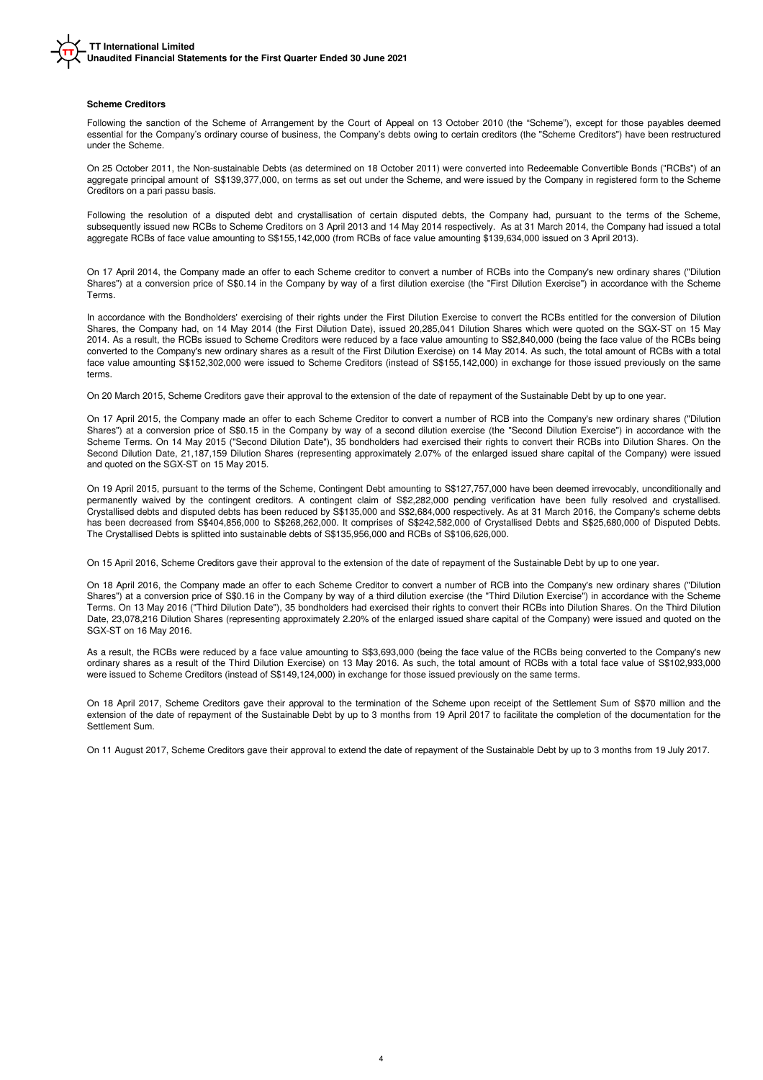### **Scheme Creditors**

Following the sanction of the Scheme of Arrangement by the Court of Appeal on 13 October 2010 (the "Scheme"), except for those payables deemed essential for the Company's ordinary course of business, the Company's debts owing to certain creditors (the "Scheme Creditors") have been restructured under the Scheme.

On 25 October 2011, the Non-sustainable Debts (as determined on 18 October 2011) were converted into Redeemable Convertible Bonds ("RCBs") of an aggregate principal amount of S\$139,377,000, on terms as set out under the Scheme, and were issued by the Company in registered form to the Scheme Creditors on a pari passu basis.

Following the resolution of a disputed debt and crystallisation of certain disputed debts, the Company had, pursuant to the terms of the Scheme, subsequently issued new RCBs to Scheme Creditors on 3 April 2013 and 14 May 2014 respectively. As at 31 March 2014, the Company had issued a total aggregate RCBs of face value amounting to S\$155,142,000 (from RCBs of face value amounting \$139,634,000 issued on 3 April 2013).

On 17 April 2014, the Company made an offer to each Scheme creditor to convert a number of RCBs into the Company's new ordinary shares ("Dilution Shares") at a conversion price of S\$0.14 in the Company by way of a first dilution exercise (the "First Dilution Exercise") in accordance with the Scheme Terms.

In accordance with the Bondholders' exercising of their rights under the First Dilution Exercise to convert the RCBs entitled for the conversion of Dilution Shares, the Company had, on 14 May 2014 (the First Dilution Date), issued 20,285,041 Dilution Shares which were quoted on the SGX-ST on 15 May 2014. As a result, the RCBs issued to Scheme Creditors were reduced by a face value amounting to S\$2,840,000 (being the face value of the RCBs being converted to the Company's new ordinary shares as a result of the First Dilution Exercise) on 14 May 2014. As such, the total amount of RCBs with a total face value amounting S\$152,302,000 were issued to Scheme Creditors (instead of S\$155,142,000) in exchange for those issued previously on the same terms.

On 20 March 2015, Scheme Creditors gave their approval to the extension of the date of repayment of the Sustainable Debt by up to one year.

On 17 April 2015, the Company made an offer to each Scheme Creditor to convert a number of RCB into the Company's new ordinary shares ("Dilution Shares") at a conversion price of S\$0.15 in the Company by way of a second dilution exercise (the "Second Dilution Exercise") in accordance with the Scheme Terms. On 14 May 2015 ("Second Dilution Date"), 35 bondholders had exercised their rights to convert their RCBs into Dilution Shares. On the Second Dilution Date, 21,187,159 Dilution Shares (representing approximately 2.07% of the enlarged issued share capital of the Company) were issued and quoted on the SGX-ST on 15 May 2015.

On 19 April 2015, pursuant to the terms of the Scheme, Contingent Debt amounting to S\$127,757,000 have been deemed irrevocably, unconditionally and permanently waived by the contingent creditors. A contingent claim of S\$2,282,000 pending verification have been fully resolved and crystallised. Crystallised debts and disputed debts has been reduced by S\$135,000 and S\$2,684,000 respectively. As at 31 March 2016, the Company's scheme debts has been decreased from S\$404,856,000 to S\$268,262,000. It comprises of S\$242,582,000 of Crystallised Debts and S\$25,680,000 of Disputed Debts. The Crystallised Debts is splitted into sustainable debts of S\$135,956,000 and RCBs of S\$106,626,000.

On 15 April 2016, Scheme Creditors gave their approval to the extension of the date of repayment of the Sustainable Debt by up to one year.

On 18 April 2016, the Company made an offer to each Scheme Creditor to convert a number of RCB into the Company's new ordinary shares ("Dilution Shares") at a conversion price of S\$0.16 in the Company by way of a third dilution exercise (the "Third Dilution Exercise") in accordance with the Scheme Terms. On 13 May 2016 ("Third Dilution Date"), 35 bondholders had exercised their rights to convert their RCBs into Dilution Shares. On the Third Dilution Date, 23,078,216 Dilution Shares (representing approximately 2.20% of the enlarged issued share capital of the Company) were issued and quoted on the SGX-ST on 16 May 2016.

As a result, the RCBs were reduced by a face value amounting to S\$3,693,000 (being the face value of the RCBs being converted to the Company's new ordinary shares as a result of the Third Dilution Exercise) on 13 May 2016. As such, the total amount of RCBs with a total face value of S\$102,933,000 were issued to Scheme Creditors (instead of S\$149,124,000) in exchange for those issued previously on the same terms.

On 18 April 2017, Scheme Creditors gave their approval to the termination of the Scheme upon receipt of the Settlement Sum of S\$70 million and the extension of the date of repayment of the Sustainable Debt by up to 3 months from 19 April 2017 to facilitate the completion of the documentation for the Settlement Sum.

On 11 August 2017, Scheme Creditors gave their approval to extend the date of repayment of the Sustainable Debt by up to 3 months from 19 July 2017.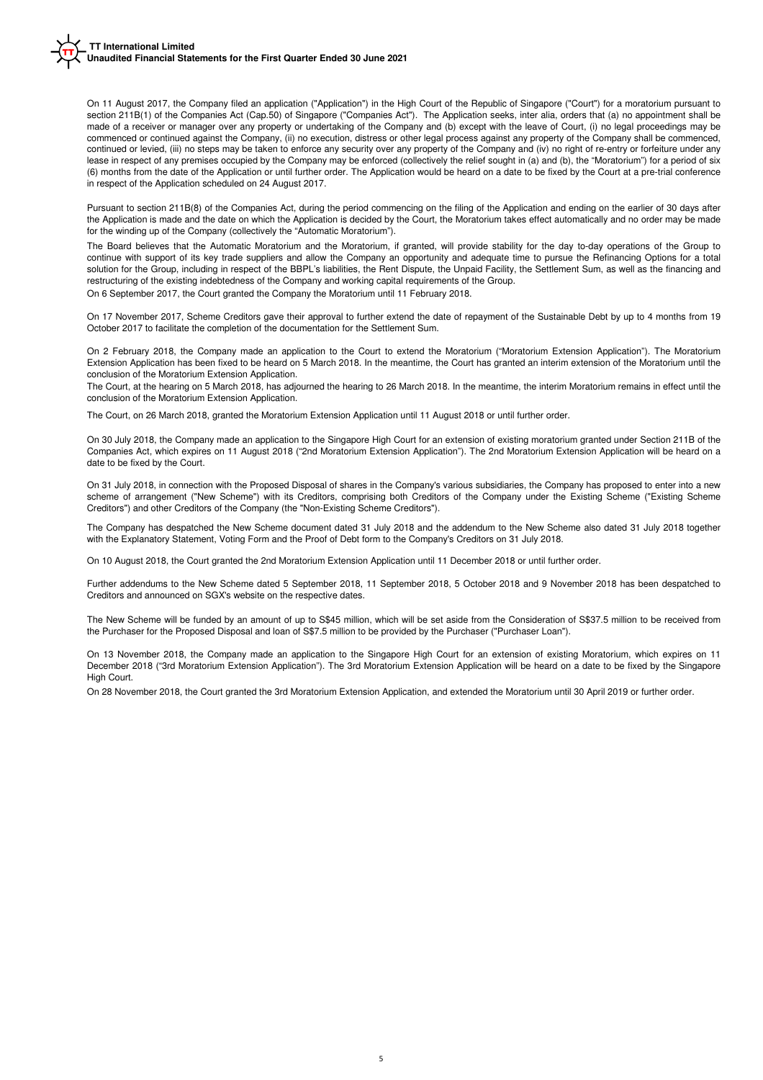On 11 August 2017, the Company filed an application ("Application") in the High Court of the Republic of Singapore ("Court") for a moratorium pursuant to section 211B(1) of the Companies Act (Cap.50) of Singapore ("Companies Act"). The Application seeks, inter alia, orders that (a) no appointment shall be made of a receiver or manager over any property or undertaking of the Company and (b) except with the leave of Court, (i) no legal proceedings may be commenced or continued against the Company, (ii) no execution, distress or other legal process against any property of the Company shall be commenced, continued or levied, (iii) no steps may be taken to enforce any security over any property of the Company and (iv) no right of re-entry or forfeiture under any lease in respect of any premises occupied by the Company may be enforced (collectively the relief sought in (a) and (b), the "Moratorium") for a period of six (6) months from the date of the Application or until further order. The Application would be heard on a date to be fixed by the Court at a pre-trial conference in respect of the Application scheduled on 24 August 2017.

Pursuant to section 211B(8) of the Companies Act, during the period commencing on the filing of the Application and ending on the earlier of 30 days after the Application is made and the date on which the Application is decided by the Court, the Moratorium takes effect automatically and no order may be made for the winding up of the Company (collectively the "Automatic Moratorium").

On 6 September 2017, the Court granted the Company the Moratorium until 11 February 2018. The Board believes that the Automatic Moratorium and the Moratorium, if granted, will provide stability for the day to-day operations of the Group to continue with support of its key trade suppliers and allow the Company an opportunity and adequate time to pursue the Refinancing Options for a total solution for the Group, including in respect of the BBPL's liabilities, the Rent Dispute, the Unpaid Facility, the Settlement Sum, as well as the financing and restructuring of the existing indebtedness of the Company and working capital requirements of the Group.

On 17 November 2017, Scheme Creditors gave their approval to further extend the date of repayment of the Sustainable Debt by up to 4 months from 19 October 2017 to facilitate the completion of the documentation for the Settlement Sum.

On 2 February 2018, the Company made an application to the Court to extend the Moratorium ("Moratorium Extension Application"). The Moratorium Extension Application has been fixed to be heard on 5 March 2018. In the meantime, the Court has granted an interim extension of the Moratorium until the conclusion of the Moratorium Extension Application.

The Court, at the hearing on 5 March 2018, has adjourned the hearing to 26 March 2018. In the meantime, the interim Moratorium remains in effect until the conclusion of the Moratorium Extension Application.

The Court, on 26 March 2018, granted the Moratorium Extension Application until 11 August 2018 or until further order.

On 30 July 2018, the Company made an application to the Singapore High Court for an extension of existing moratorium granted under Section 211B of the Companies Act, which expires on 11 August 2018 ("2nd Moratorium Extension Application"). The 2nd Moratorium Extension Application will be heard on a date to be fixed by the Court.

On 31 July 2018, in connection with the Proposed Disposal of shares in the Company's various subsidiaries, the Company has proposed to enter into a new scheme of arrangement ("New Scheme") with its Creditors, comprising both Creditors of the Company under the Existing Scheme ("Existing Scheme Creditors") and other Creditors of the Company (the "Non-Existing Scheme Creditors").

The Company has despatched the New Scheme document dated 31 July 2018 and the addendum to the New Scheme also dated 31 July 2018 together with the Explanatory Statement, Voting Form and the Proof of Debt form to the Company's Creditors on 31 July 2018.

On 10 August 2018, the Court granted the 2nd Moratorium Extension Application until 11 December 2018 or until further order.

Further addendums to the New Scheme dated 5 September 2018, 11 September 2018, 5 October 2018 and 9 November 2018 has been despatched to Creditors and announced on SGX's website on the respective dates.

The New Scheme will be funded by an amount of up to S\$45 million, which will be set aside from the Consideration of S\$37.5 million to be received from the Purchaser for the Proposed Disposal and loan of S\$7.5 million to be provided by the Purchaser ("Purchaser Loan").

On 13 November 2018, the Company made an application to the Singapore High Court for an extension of existing Moratorium, which expires on 11 December 2018 ("3rd Moratorium Extension Application"). The 3rd Moratorium Extension Application will be heard on a date to be fixed by the Singapore High Court.

On 28 November 2018, the Court granted the 3rd Moratorium Extension Application, and extended the Moratorium until 30 April 2019 or further order.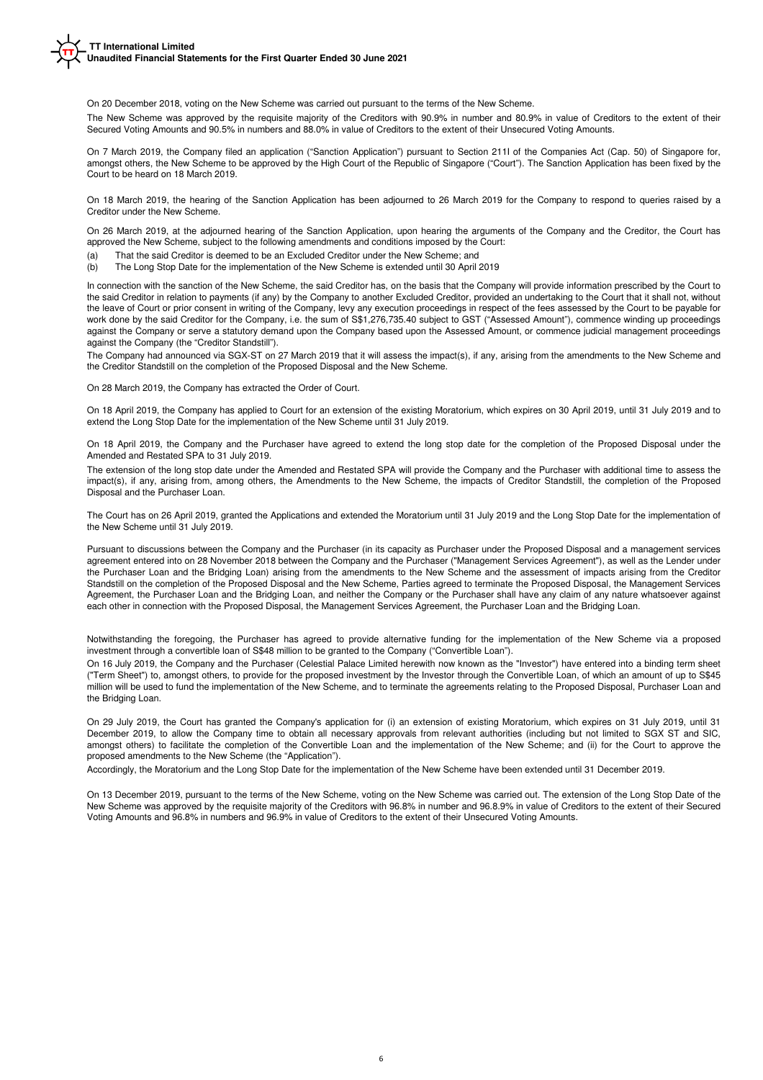On 20 December 2018, voting on the New Scheme was carried out pursuant to the terms of the New Scheme.

The New Scheme was approved by the requisite majority of the Creditors with 90.9% in number and 80.9% in value of Creditors to the extent of their Secured Voting Amounts and 90.5% in numbers and 88.0% in value of Creditors to the extent of their Unsecured Voting Amounts.

On 7 March 2019, the Company filed an application ("Sanction Application") pursuant to Section 211I of the Companies Act (Cap. 50) of Singapore for, amongst others, the New Scheme to be approved by the High Court of the Republic of Singapore ("Court"). The Sanction Application has been fixed by the Court to be heard on 18 March 2019.

On 18 March 2019, the hearing of the Sanction Application has been adjourned to 26 March 2019 for the Company to respond to queries raised by a Creditor under the New Scheme.

On 26 March 2019, at the adjourned hearing of the Sanction Application, upon hearing the arguments of the Company and the Creditor, the Court has approved the New Scheme, subject to the following amendments and conditions imposed by the Court:

 $(a)$ That the said Creditor is deemed to be an Excluded Creditor under the New Scheme; and

 $(b)$ The Long Stop Date for the implementation of the New Scheme is extended until 30 April 2019

In connection with the sanction of the New Scheme, the said Creditor has, on the basis that the Company will provide information prescribed by the Court to the said Creditor in relation to payments (if any) by the Company to another Excluded Creditor, provided an undertaking to the Court that it shall not, without the leave of Court or prior consent in writing of the Company, levy any execution proceedings in respect of the fees assessed by the Court to be payable for work done by the said Creditor for the Company, i.e. the sum of S\$1,276,735.40 subject to GST ("Assessed Amount"), commence winding up proceedings against the Company or serve a statutory demand upon the Company based upon the Assessed Amount, or commence judicial management proceedings against the Company (the "Creditor Standstill").

The Company had announced via SGX-ST on 27 March 2019 that it will assess the impact(s), if any, arising from the amendments to the New Scheme and the Creditor Standstill on the completion of the Proposed Disposal and the New Scheme.

On 28 March 2019, the Company has extracted the Order of Court.

On 18 April 2019, the Company has applied to Court for an extension of the existing Moratorium, which expires on 30 April 2019, until 31 July 2019 and to extend the Long Stop Date for the implementation of the New Scheme until 31 July 2019.

On 18 April 2019, the Company and the Purchaser have agreed to extend the long stop date for the completion of the Proposed Disposal under the Amended and Restated SPA to 31 July 2019.

The extension of the long stop date under the Amended and Restated SPA will provide the Company and the Purchaser with additional time to assess the impact(s), if any, arising from, among others, the Amendments to the New Scheme, the impacts of Creditor Standstill, the completion of the Proposed Disposal and the Purchaser Loan.

The Court has on 26 April 2019, granted the Applications and extended the Moratorium until 31 July 2019 and the Long Stop Date for the implementation of the New Scheme until 31 July 2019.

Pursuant to discussions between the Company and the Purchaser (in its capacity as Purchaser under the Proposed Disposal and a management services agreement entered into on 28 November 2018 between the Company and the Purchaser ("Management Services Agreement"), as well as the Lender under the Purchaser Loan and the Bridging Loan) arising from the amendments to the New Scheme and the assessment of impacts arising from the Creditor Standstill on the completion of the Proposed Disposal and the New Scheme, Parties agreed to terminate the Proposed Disposal, the Management Services Agreement, the Purchaser Loan and the Bridging Loan, and neither the Company or the Purchaser shall have any claim of any nature whatsoever against each other in connection with the Proposed Disposal, the Management Services Agreement, the Purchaser Loan and the Bridging Loan.

Notwithstanding the foregoing, the Purchaser has agreed to provide alternative funding for the implementation of the New Scheme via a proposed investment through a convertible loan of S\$48 million to be granted to the Company ("Convertible Loan").

On 16 July 2019, the Company and the Purchaser (Celestial Palace Limited herewith now known as the "Investor") have entered into a binding term sheet ("Term Sheet") to, amongst others, to provide for the proposed investment by the Investor through the Convertible Loan, of which an amount of up to S\$45 million will be used to fund the implementation of the New Scheme, and to terminate the agreements relating to the Proposed Disposal, Purchaser Loan and the Bridging Loan

On 29 July 2019, the Court has granted the Company's application for (i) an extension of existing Moratorium, which expires on 31 July 2019, until 31 December 2019, to allow the Company time to obtain all necessary approvals from relevant authorities (including but not limited to SGX ST and SIC, amongst others) to facilitate the completion of the Convertible Loan and the implementation of the New Scheme; and (ii) for the Court to approve the proposed amendments to the New Scheme (the "Application").

Accordingly, the Moratorium and the Long Stop Date for the implementation of the New Scheme have been extended until 31 December 2019.

On 13 December 2019, pursuant to the terms of the New Scheme, voting on the New Scheme was carried out. The extension of the Long Stop Date of the New Scheme was approved by the requisite majority of the Creditors with 96.8% in number and 96.8.9% in value of Creditors to the extent of their Secured Voting Amounts and 96.8% in numbers and 96.9% in value of Creditors to the extent of their Unsecured Voting Amounts.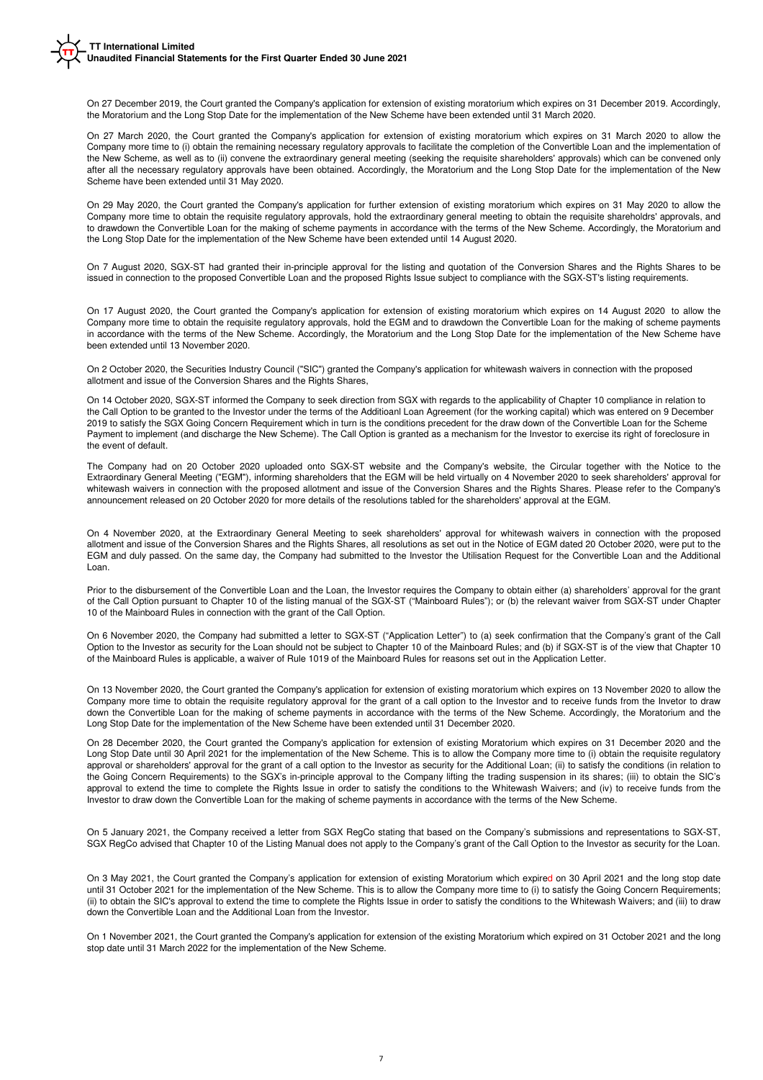On 27 December 2019, the Court granted the Company's application for extension of existing moratorium which expires on 31 December 2019. Accordingly, the Moratorium and the Long Stop Date for the implementation of the New Scheme have been extended until 31 March 2020.

On 27 March 2020, the Court granted the Company's application for extension of existing moratorium which expires on 31 March 2020 to allow the Company more time to (i) obtain the remaining necessary regulatory approvals to facilitate the completion of the Convertible Loan and the implementation of the New Scheme, as well as to (ii) convene the extraordinary general meeting (seeking the requisite shareholders' approvals) which can be convened only after all the necessary regulatory approvals have been obtained. Accordingly, the Moratorium and the Long Stop Date for the implementation of the New Scheme have been extended until 31 May 2020.

On 29 May 2020, the Court granted the Company's application for further extension of existing moratorium which expires on 31 May 2020 to allow the Company more time to obtain the requisite regulatory approvals, hold the extraordinary general meeting to obtain the requisite shareholdrs' approvals, and to drawdown the Convertible Loan for the making of scheme payments in accordance with the terms of the New Scheme. Accordingly, the Moratorium and the Long Stop Date for the implementation of the New Scheme have been extended until 14 August 2020.

On 7 August 2020, SGX-ST had granted their in-principle approval for the listing and quotation of the Conversion Shares and the Rights Shares to be issued in connection to the proposed Convertible Loan and the proposed Rights Issue subject to compliance with the SGX-ST's listing requirements.

On 17 August 2020, the Court granted the Company's application for extension of existing moratorium which expires on 14 August 2020 to allow the Company more time to obtain the requisite regulatory approvals, hold the EGM and to drawdown the Convertible Loan for the making of scheme payments in accordance with the terms of the New Scheme. Accordingly, the Moratorium and the Long Stop Date for the implementation of the New Scheme have been extended until 13 November 2020.

On 2 October 2020, the Securities Industry Council ("SIC") granted the Company's application for whitewash waivers in connection with the proposed allotment and issue of the Conversion Shares and the Rights Shares,

On 14 October 2020, SGX-ST informed the Company to seek direction from SGX with regards to the applicability of Chapter 10 compliance in relation to the Call Option to be granted to the Investor under the terms of the Additioanl Loan Agreement (for the working capital) which was entered on 9 December 2019 to satisfy the SGX Going Concern Requirement which in turn is the conditions precedent for the draw down of the Convertible Loan for the Scheme Payment to implement (and discharge the New Scheme). The Call Option is granted as a mechanism for the Investor to exercise its right of foreclosure in the event of default.

The Company had on 20 October 2020 uploaded onto SGX-ST website and the Company's website, the Circular together with the Notice to the Extraordinary General Meeting ("EGM"), informing shareholders that the EGM will be held virtually on 4 November 2020 to seek shareholders' approval for whitewash waivers in connection with the proposed allotment and issue of the Conversion Shares and the Rights Shares. Please refer to the Company's announcement released on 20 October 2020 for more details of the resolutions tabled for the shareholders' approval at the EGM.

On 4 November 2020, at the Extraordinary General Meeting to seek shareholders' approval for whitewash waivers in connection with the proposed allotment and issue of the Conversion Shares and the Rights Shares, all resolutions as set out in the Notice of EGM dated 20 October 2020, were put to the EGM and duly passed. On the same day, the Company had submitted to the Investor the Utilisation Request for the Convertible Loan and the Additional Loan.

Prior to the disbursement of the Convertible Loan and the Loan, the Investor requires the Company to obtain either (a) shareholders' approval for the grant of the Call Option pursuant to Chapter 10 of the listing manual of the SGX-ST ("Mainboard Rules"); or (b) the relevant waiver from SGX-ST under Chapter 10 of the Mainboard Rules in connection with the grant of the Call Option.

On 6 November 2020, the Company had submitted a letter to SGX-ST ("Application Letter") to (a) seek confirmation that the Company's grant of the Call Option to the Investor as security for the Loan should not be subject to Chapter 10 of the Mainboard Rules; and (b) if SGX-ST is of the view that Chapter 10 of the Mainboard Rules is applicable, a waiver of Rule 1019 of the Mainboard Rules for reasons set out in the Application Letter.

On 13 November 2020, the Court granted the Company's application for extension of existing moratorium which expires on 13 November 2020 to allow the Company more time to obtain the requisite regulatory approval for the grant of a call option to the Investor and to receive funds from the Invetor to draw down the Convertible Loan for the making of scheme payments in accordance with the terms of the New Scheme. Accordingly, the Moratorium and the Long Stop Date for the implementation of the New Scheme have been extended until 31 December 2020.

On 28 December 2020, the Court granted the Company's application for extension of existing Moratorium which expires on 31 December 2020 and the Long Stop Date until 30 April 2021 for the implementation of the New Scheme. This is to allow the Company more time to (i) obtain the requisite regulatory approval or shareholders' approval for the grant of a call option to the Investor as security for the Additional Loan; (ii) to satisfy the conditions (in relation to the Going Concern Requirements) to the SGX's in-principle approval to the Company lifting the trading suspension in its shares; (iii) to obtain the SIC's approval to extend the time to complete the Rights Issue in order to satisfy the conditions to the Whitewash Waivers; and (iv) to receive funds from the Investor to draw down the Convertible Loan for the making of scheme payments in accordance with the terms of the New Scheme.

On 5 January 2021, the Company received a letter from SGX RegCo stating that based on the Company's submissions and representations to SGX-ST, SGX RegCo advised that Chapter 10 of the Listing Manual does not apply to the Company's grant of the Call Option to the Investor as security for the Loan.

On 3 May 2021, the Court granted the Company's application for extension of existing Moratorium which expired on 30 April 2021 and the long stop date until 31 October 2021 for the implementation of the New Scheme. This is to allow the Company more time to (i) to satisfy the Going Concern Requirements; (ii) to obtain the SIC's approval to extend the time to complete the Rights Issue in order to satisfy the conditions to the Whitewash Waivers; and (iii) to draw down the Convertible Loan and the Additional Loan from the Investor.

On 1 November 2021, the Court granted the Company's application for extension of the existing Moratorium which expired on 31 October 2021 and the long stop date until 31 March 2022 for the implementation of the New Scheme.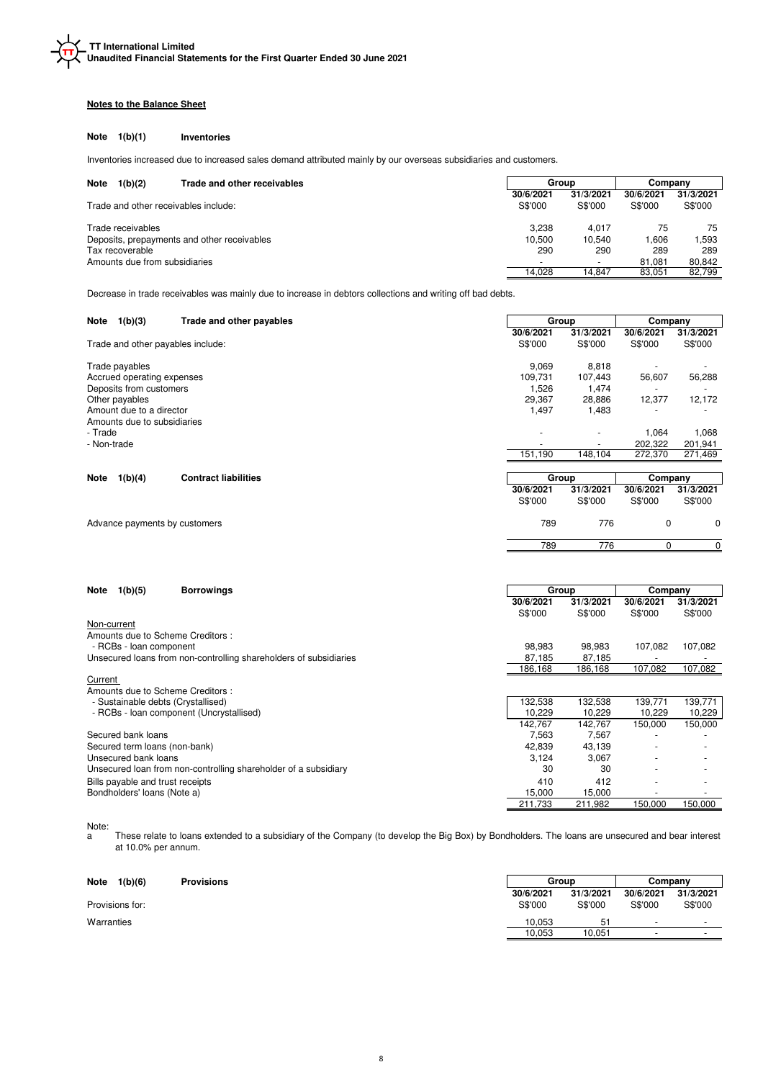## **Notes to the Balance Sheet**

### **Note 1(b)(1) Inventories**

Inventories increased due to increased sales demand attributed mainly by our overseas subsidiaries and customers.

| <b>Note</b><br>1(b)(2)<br>Trade and other receivables          |                      | Group                | Companv              |                      |
|----------------------------------------------------------------|----------------------|----------------------|----------------------|----------------------|
| Trade and other receivables include:                           | 30/6/2021<br>S\$'000 | 31/3/2021<br>S\$'000 | 30/6/2021<br>S\$'000 | 31/3/2021<br>S\$'000 |
| Trade receivables                                              | 3.238                | 4.017                | 75                   | 75                   |
| Deposits, prepayments and other receivables<br>Tax recoverable | 10.500<br>290        | 10.540<br>290        | 1.606<br>289         | 1,593<br>289         |
| Amounts due from subsidiaries                                  |                      | $\sim$               | 81.081               | 80.842               |
|                                                                | 14.028               | 14.847               | 83.051               | 82,799               |

Decrease in trade receivables was mainly due to increase in debtors collections and writing off bad debts.

| 1(b)(3)<br>Trade and other payables<br>Note           | Group     |                          | Company   |           |
|-------------------------------------------------------|-----------|--------------------------|-----------|-----------|
|                                                       | 30/6/2021 | 31/3/2021                | 30/6/2021 | 31/3/2021 |
| Trade and other payables include:                     | S\$'000   | S\$'000                  | S\$'000   | S\$'000   |
| Trade payables                                        | 9,069     | 8,818                    |           |           |
| Accrued operating expenses                            | 109,731   | 107,443                  | 56,607    | 56,288    |
| Deposits from customers                               | 1,526     | 1,474                    |           |           |
| Other payables                                        | 29,367    | 28,886                   | 12,377    | 12,172    |
| Amount due to a director                              | 1,497     | 1,483                    |           |           |
| Amounts due to subsidiaries                           |           |                          |           |           |
| - Trade                                               |           |                          | 1,064     | 1,068     |
| - Non-trade                                           | -         | $\overline{\phantom{a}}$ | 202,322   | 201,941   |
|                                                       | 151,190   | 148,104                  | 272,370   | 271,469   |
|                                                       |           |                          |           |           |
| 1(b)(4)<br><b>Contract liabilities</b><br><b>Note</b> | Group     |                          | Company   |           |
|                                                       | 30/6/2021 | 31/3/2021                | 30/6/2021 | 31/3/2021 |
|                                                       | S\$'000   | S\$'000                  | S\$'000   | S\$'000   |
| Advance payments by customers                         | 789       | 776                      | 0         | 0         |

789 776 0 0

| <b>Borrowings</b><br>1(b)(5)<br>Note                              |           | Group     | Company   |           |
|-------------------------------------------------------------------|-----------|-----------|-----------|-----------|
|                                                                   | 30/6/2021 | 31/3/2021 | 30/6/2021 | 31/3/2021 |
|                                                                   | S\$'000   | S\$'000   | S\$'000   | S\$'000   |
| Non-current                                                       |           |           |           |           |
| Amounts due to Scheme Creditors:                                  |           |           |           |           |
| - RCBs - loan component                                           | 98,983    | 98,983    | 107,082   | 107,082   |
| Unsecured loans from non-controlling shareholders of subsidiaries | 87,185    | 87.185    |           |           |
|                                                                   | 186,168   | 186,168   | 107,082   | 107,082   |
| Current                                                           |           |           |           |           |
| Amounts due to Scheme Creditors:                                  |           |           |           |           |
| - Sustainable debts (Crystallised)                                | 132,538   | 132,538   | 139,771   | 139,771   |
| - RCBs - Ioan component (Uncrystallised)                          | 10,229    | 10,229    | 10,229    | 10,229    |
|                                                                   | 142,767   | 142,767   | 150.000   | 150,000   |
| Secured bank loans                                                | 7,563     | 7,567     |           |           |
| Secured term loans (non-bank)                                     | 42,839    | 43,139    |           |           |
| Unsecured bank loans                                              | 3,124     | 3.067     |           |           |
| Unsecured loan from non-controlling shareholder of a subsidiary   | 30        | 30        |           |           |
| Bills payable and trust receipts                                  | 410       | 412       |           |           |
| Bondholders' loans (Note a)                                       | 15,000    | 15,000    |           |           |
|                                                                   | 211.733   | 211.982   | 150.000   | 150.000   |

## Note:

a These relate to loans extended to a subsidiary of the Company (to develop the Big Box) by Bondholders. The loans are unsecured and bear interest at 10.0% per annum.

| <b>Note</b><br>1(b)(6) | <b>Provisions</b> | Group                |                      | Company                  |                          |  |
|------------------------|-------------------|----------------------|----------------------|--------------------------|--------------------------|--|
| Provisions for:        |                   | 30/6/2021<br>S\$'000 | 31/3/2021<br>S\$'000 | 30/6/2021<br>S\$'000     | 31/3/2021<br>S\$'000     |  |
| Warranties             |                   | 10.053               | 51                   | $\overline{\phantom{0}}$ | $\overline{\phantom{0}}$ |  |
|                        |                   | 10.053               | 10.051               |                          | $\overline{\phantom{0}}$ |  |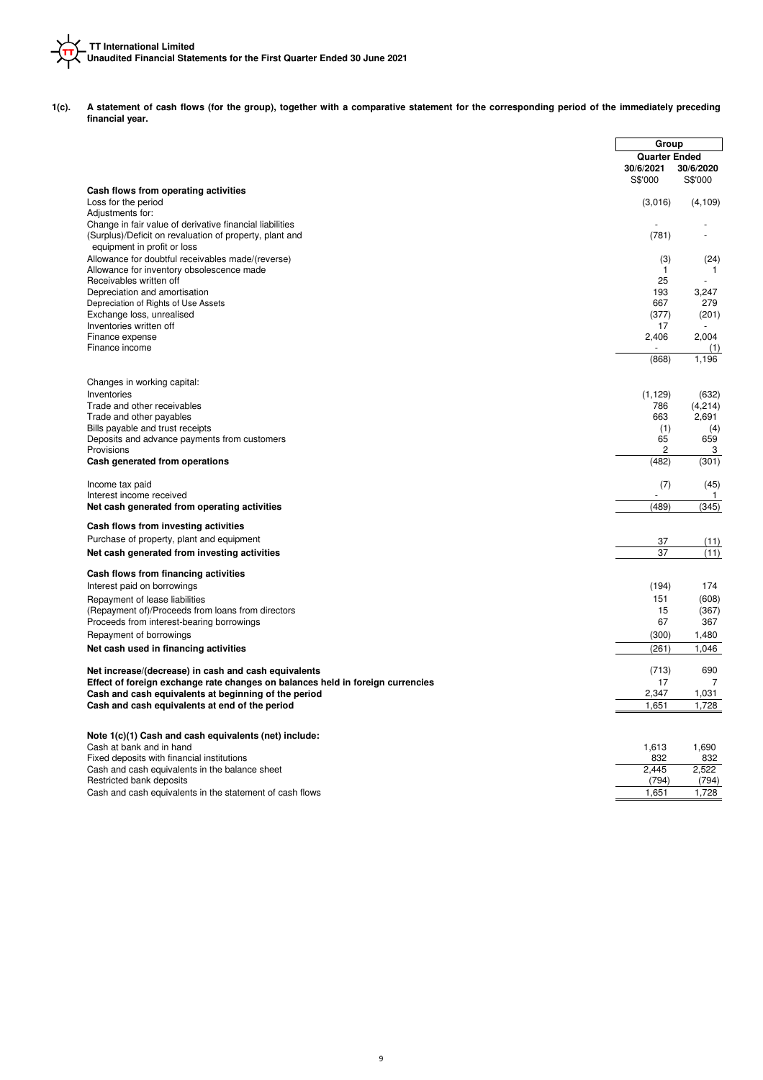

**1(c). A statement of cash flows (for the group), together with a comparative statement for the corresponding period of the immediately preceding financial year.**

|                                                                                |                      | Group                                        |
|--------------------------------------------------------------------------------|----------------------|----------------------------------------------|
|                                                                                | 30/6/2021<br>S\$'000 | <b>Quarter Ended</b><br>30/6/2020<br>S\$'000 |
| Cash flows from operating activities                                           |                      |                                              |
| Loss for the period                                                            | (3,016)              | (4, 109)                                     |
| Adjustments for:<br>Change in fair value of derivative financial liabilities   |                      |                                              |
| (Surplus)/Deficit on revaluation of property, plant and                        | (781)                | $\overline{a}$                               |
| equipment in profit or loss                                                    |                      |                                              |
| Allowance for doubtful receivables made/(reverse)                              | (3)                  | (24)                                         |
| Allowance for inventory obsolescence made                                      | 1                    | 1                                            |
| Receivables written off                                                        | 25                   | ÷                                            |
| Depreciation and amortisation                                                  | 193                  | 3,247                                        |
| Depreciation of Rights of Use Assets                                           | 667                  | 279                                          |
| Exchange loss, unrealised<br>Inventories written off                           | (377)<br>17          | (201)                                        |
| Finance expense                                                                | 2,406                | 2,004                                        |
| Finance income                                                                 |                      | (1)                                          |
|                                                                                | (868)                | 1,196                                        |
| Changes in working capital:                                                    |                      |                                              |
| Inventories                                                                    | (1, 129)             | (632)                                        |
| Trade and other receivables                                                    | 786                  | (4, 214)                                     |
| Trade and other payables                                                       | 663                  | 2,691                                        |
| Bills payable and trust receipts                                               | (1)                  | (4)                                          |
| Deposits and advance payments from customers                                   | 65<br>2              | 659                                          |
| Provisions<br>Cash generated from operations                                   | (482)                | 3<br>(301)                                   |
| Income tax paid                                                                | (7)                  | (45)                                         |
| Interest income received                                                       |                      | $\mathbf{1}$                                 |
| Net cash generated from operating activities                                   | (489)                | (345)                                        |
| Cash flows from investing activities                                           |                      |                                              |
| Purchase of property, plant and equipment                                      | 37                   | (11)                                         |
| Net cash generated from investing activities                                   | 37                   | (11)                                         |
| Cash flows from financing activities                                           |                      |                                              |
| Interest paid on borrowings                                                    | (194)                | 174                                          |
| Repayment of lease liabilities                                                 | 151                  | (608)                                        |
| (Repayment of)/Proceeds from loans from directors                              | 15                   | (367)                                        |
| Proceeds from interest-bearing borrowings                                      | 67                   | 367                                          |
| Repayment of borrowings<br>Net cash used in financing activities               | (300)<br>(261)       | 1,480<br>1,046                               |
|                                                                                |                      |                                              |
| Net increase/(decrease) in cash and cash equivalents                           | (713)                | 690                                          |
| Effect of foreign exchange rate changes on balances held in foreign currencies | 17                   | $\overline{7}$                               |
| Cash and cash equivalents at beginning of the period                           | 2,347                | 1,031                                        |
| Cash and cash equivalents at end of the period                                 | 1,651                | 1,728                                        |
| Note 1(c)(1) Cash and cash equivalents (net) include:                          |                      |                                              |
| Cash at bank and in hand                                                       | 1,613                | 1,690                                        |
| Fixed deposits with financial institutions                                     | 832                  | 832                                          |
| Cash and cash equivalents in the balance sheet                                 | 2,445                | 2,522                                        |
| Restricted bank deposits                                                       | (794)                | (794)                                        |
| Cash and cash equivalents in the statement of cash flows                       | 1,651                | 1,728                                        |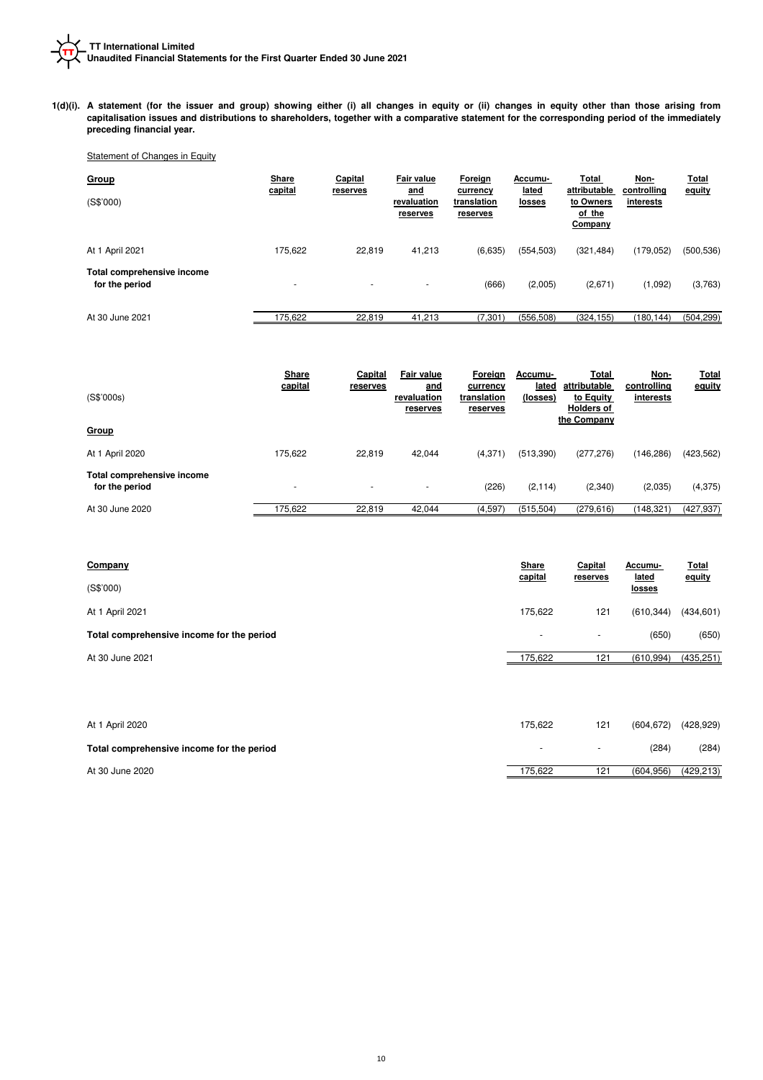**1(d)(i). A statement (for the issuer and group) showing either (i) all changes in equity or (ii) changes in equity other than those arising from capitalisation issues and distributions to shareholders, together with a comparative statement for the corresponding period of the immediately preceding financial year.**

# Statement of Changes in Equity

| <b>Group</b><br>(S\$'000)                    | Share<br>capital         | Capital<br>reserves      | Fair value<br>and<br>revaluation<br>reserves | Foreign<br>currency<br>translation<br>reserves | Accumu-<br>lated<br>losses | Total<br>attributable<br>to Owners<br>of the<br>Company | Non-<br>controlling<br>interests | <u>Total</u><br>equity |
|----------------------------------------------|--------------------------|--------------------------|----------------------------------------------|------------------------------------------------|----------------------------|---------------------------------------------------------|----------------------------------|------------------------|
| At 1 April 2021                              | 175.622                  | 22.819                   | 41,213                                       | (6,635)                                        | (554, 503)                 | (321, 484)                                              | (179, 052)                       | (500, 536)             |
| Total comprehensive income<br>for the period | $\overline{\phantom{a}}$ | $\overline{\phantom{a}}$ | ۰                                            | (666)                                          | (2,005)                    | (2,671)                                                 | (1,092)                          | (3,763)                |
| At 30 June 2021                              | 175,622                  | 22,819                   | 41,213                                       | (7, 301)                                       | (556, 508)                 | (324, 155)                                              | (180, 144)                       | (504, 299)             |

|                                              | Share<br>capital | Capital<br>reserves      | <b>Fair value</b><br>and | Foreign<br>currency     | Accumu-<br>lated | Total<br>attributable                         | Non-<br>controlling | <b>Total</b><br>equity |
|----------------------------------------------|------------------|--------------------------|--------------------------|-------------------------|------------------|-----------------------------------------------|---------------------|------------------------|
| (S\$'000s)                                   |                  |                          | revaluation<br>reserves  | translation<br>reserves | (losses)         | to Equity<br><b>Holders of</b><br>the Company | interests           |                        |
| Group                                        |                  |                          |                          |                         |                  |                                               |                     |                        |
| At 1 April 2020                              | 175,622          | 22.819                   | 42,044                   | (4,371)                 | (513,390)        | (277, 276)                                    | (146, 286)          | (423, 562)             |
| Total comprehensive income<br>for the period | ٠                | $\overline{\phantom{a}}$ |                          | (226)                   | (2, 114)         | (2,340)                                       | (2,035)             | (4, 375)               |
| At 30 June 2020                              | 175,622          | 22,819                   | 42,044                   | (4,597)                 | (515, 504)       | (279, 616)                                    | (148, 321)          | (427, 937)             |

| Company                                   |                          | Capital<br>reserves      | Accumu-<br><u>lated</u> | <b>Total</b><br>equity |
|-------------------------------------------|--------------------------|--------------------------|-------------------------|------------------------|
| (S\$'000)                                 | capital                  |                          | <u>losses</u>           |                        |
| At 1 April 2021                           | 175.622                  | 121                      | (610, 344)              | (434, 601)             |
| Total comprehensive income for the period | $\overline{\phantom{0}}$ | $\overline{\phantom{a}}$ | (650)                   | (650)                  |
| At 30 June 2021                           | 175,622                  | 121                      | (610, 994)              | (435, 251)             |

| At 1 April 2020                           | 175.622 | 121             | (604.672) | (428,929)  |
|-------------------------------------------|---------|-----------------|-----------|------------|
| Total comprehensive income for the period |         | $\sim$          | (284)     | (284)      |
| At 30 June 2020                           | 175.622 | 12 <sup>1</sup> | (604.956) | (429, 213) |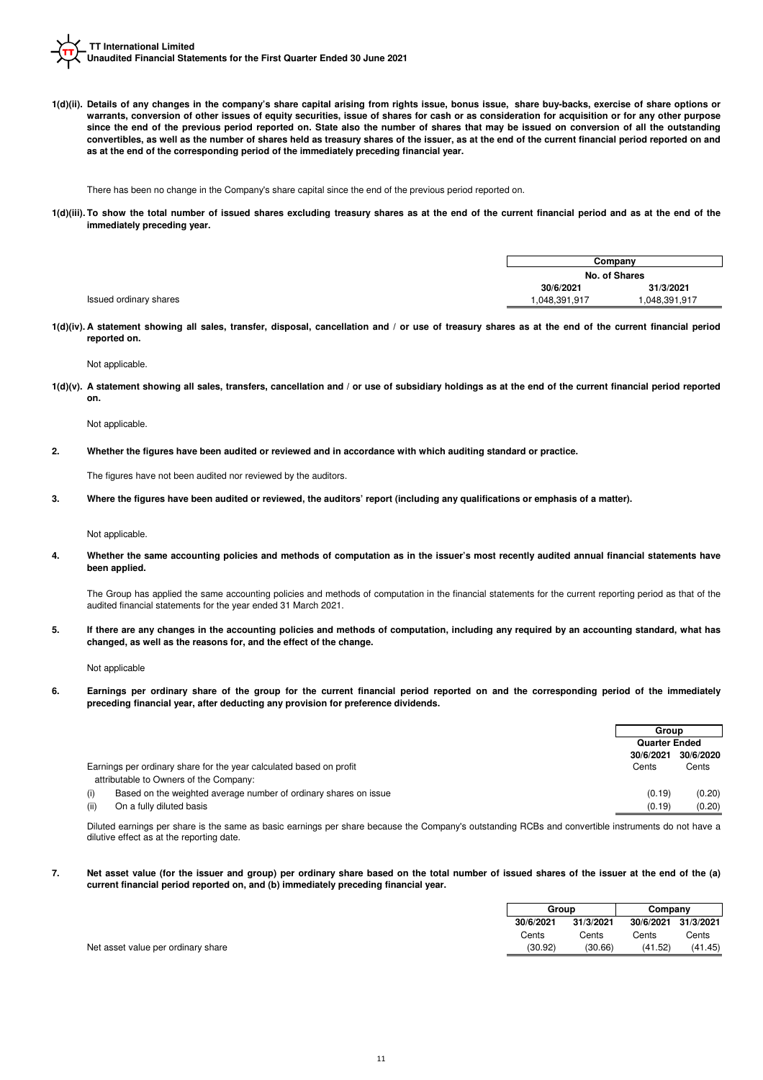**1(d)(ii). Details of any changes in the company's share capital arising from rights issue, bonus issue, share buy-backs, exercise of share options or warrants, conversion of other issues of equity securities, issue of shares for cash or as consideration for acquisition or for any other purpose since the end of the previous period reported on. State also the number of shares that may be issued on conversion of all the outstanding convertibles, as well as the number of shares held as treasury shares of the issuer, as at the end of the current financial period reported on and as at the end of the corresponding period of the immediately preceding financial year.**

There has been no change in the Company's share capital since the end of the previous period reported on.

**1(d)(iii). To show the total number of issued shares excluding treasury shares as at the end of the current financial period and as at the end of the immediately preceding year.**

|                        | Company       |             |  |
|------------------------|---------------|-------------|--|
|                        | No. of Shares |             |  |
|                        | 30/6/2021     | 31/3/2021   |  |
| Issued ordinary shares | 048,391,917   | 048,391,917 |  |

**1(d)(iv). A statement showing all sales, transfer, disposal, cancellation and / or use of treasury shares as at the end of the current financial period reported on.**

Not applicable.

**1(d)(v). A statement showing all sales, transfers, cancellation and / or use of subsidiary holdings as at the end of the current financial period reported on.**

Not applicable.

**2. Whether the figures have been audited or reviewed and in accordance with which auditing standard or practice.**

The figures have not been audited nor reviewed by the auditors.

**3. Where the figures have been audited or reviewed, the auditors' report (including any qualifications or emphasis of a matter).**

Not applicable.

**4. Whether the same accounting policies and methods of computation as in the issuer's most recently audited annual financial statements have been applied.**

The Group has applied the same accounting policies and methods of computation in the financial statements for the current reporting period as that of the audited financial statements for the year ended 31 March 2021.

**5. If there are any changes in the accounting policies and methods of computation, including any required by an accounting standard, what has changed, as well as the reasons for, and the effect of the change.**

Not applicable

**6. Earnings per ordinary share of the group for the current financial period reported on and the corresponding period of the immediately preceding financial year, after deducting any provision for preference dividends.**

|                                                                         | Group                |           |
|-------------------------------------------------------------------------|----------------------|-----------|
|                                                                         | <b>Quarter Ended</b> |           |
|                                                                         | 30/6/2021            | 30/6/2020 |
| Earnings per ordinary share for the year calculated based on profit     | Cents                | Cents     |
| attributable to Owners of the Company:                                  |                      |           |
| Based on the weighted average number of ordinary shares on issue<br>(i) | (0.19)               | (0.20)    |
| (ii)<br>On a fully diluted basis                                        | (0.19)               | (0.20)    |

Diluted earnings per share is the same as basic earnings per share because the Company's outstanding RCBs and convertible instruments do not have a dilutive effect as at the reporting date.

**7. Net asset value (for the issuer and group) per ordinary share based on the total number of issued shares of the issuer at the end of the (a) current financial period reported on, and (b) immediately preceding financial year.**

|                                    |           | Group   |           | Company   |           |
|------------------------------------|-----------|---------|-----------|-----------|-----------|
|                                    | 30/6/2021 |         | 31/3/2021 | 30/6/2021 | 31/3/2021 |
|                                    | Cents     |         | Cents     | Cents     | Cents     |
| Net asset value per ordinary share |           | (30.92) | (30.66)   | (41.52)   | (41.45)   |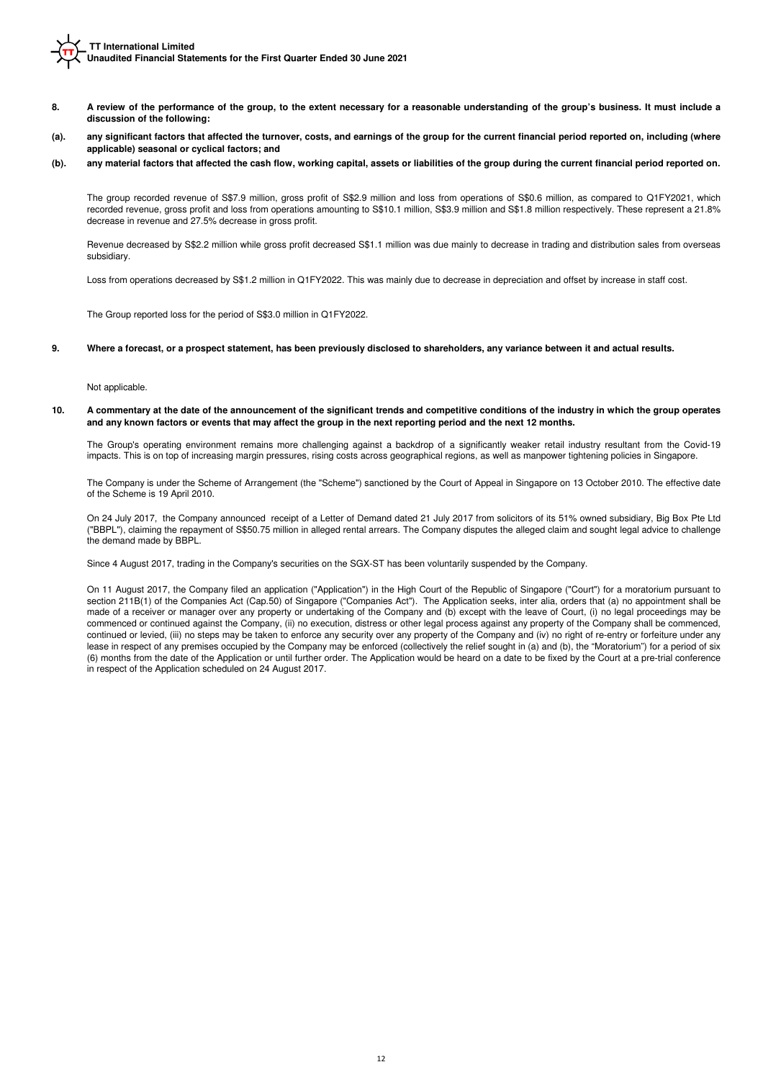- **8. A review of the performance of the group, to the extent necessary for a reasonable understanding of the group's business. It must include a discussion of the following:**
- **(a). any significant factors that affected the turnover, costs, and earnings of the group for the current financial period reported on, including (where applicable) seasonal or cyclical factors; and**
- **(b). any material factors that affected the cash flow, working capital, assets or liabilities of the group during the current financial period reported on.**

The group recorded revenue of S\$7.9 million, gross profit of S\$2.9 million and loss from operations of S\$0.6 million, as compared to Q1FY2021, which recorded revenue, gross profit and loss from operations amounting to S\$10.1 million, S\$3.9 million and S\$1.8 million respectively. These represent a 21.8% decrease in revenue and 27.5% decrease in gross profit.

Revenue decreased by S\$2.2 million while gross profit decreased S\$1.1 million was due mainly to decrease in trading and distribution sales from overseas subsidiary.

Loss from operations decreased by S\$1.2 million in Q1FY2022. This was mainly due to decrease in depreciation and offset by increase in staff cost.

The Group reported loss for the period of S\$3.0 million in Q1FY2022.

#### **9. Where a forecast, or a prospect statement, has been previously disclosed to shareholders, any variance between it and actual results.**

Not applicable.

### **10. A commentary at the date of the announcement of the significant trends and competitive conditions of the industry in which the group operates and any known factors or events that may affect the group in the next reporting period and the next 12 months.**

The Group's operating environment remains more challenging against a backdrop of a significantly weaker retail industry resultant from the Covid-19 impacts. This is on top of increasing margin pressures, rising costs across geographical regions, as well as manpower tightening policies in Singapore.

The Company is under the Scheme of Arrangement (the "Scheme") sanctioned by the Court of Appeal in Singapore on 13 October 2010. The effective date of the Scheme is 19 April 2010.

On 24 July 2017, the Company announced receipt of a Letter of Demand dated 21 July 2017 from solicitors of its 51% owned subsidiary, Big Box Pte Ltd ("BBPL"), claiming the repayment of S\$50.75 million in alleged rental arrears. The Company disputes the alleged claim and sought legal advice to challenge the demand made by BBPL.

Since 4 August 2017, trading in the Company's securities on the SGX-ST has been voluntarily suspended by the Company.

On 11 August 2017, the Company filed an application ("Application") in the High Court of the Republic of Singapore ("Court") for a moratorium pursuant to section 211B(1) of the Companies Act (Cap.50) of Singapore ("Companies Act"). The Application seeks, inter alia, orders that (a) no appointment shall be made of a receiver or manager over any property or undertaking of the Company and (b) except with the leave of Court, (i) no legal proceedings may be commenced or continued against the Company, (ii) no execution, distress or other legal process against any property of the Company shall be commenced, continued or levied, (iii) no steps may be taken to enforce any security over any property of the Company and (iv) no right of re-entry or forfeiture under any lease in respect of any premises occupied by the Company may be enforced (collectively the relief sought in (a) and (b), the "Moratorium") for a period of six (6) months from the date of the Application or until further order. The Application would be heard on a date to be fixed by the Court at a pre-trial conference in respect of the Application scheduled on 24 August 2017.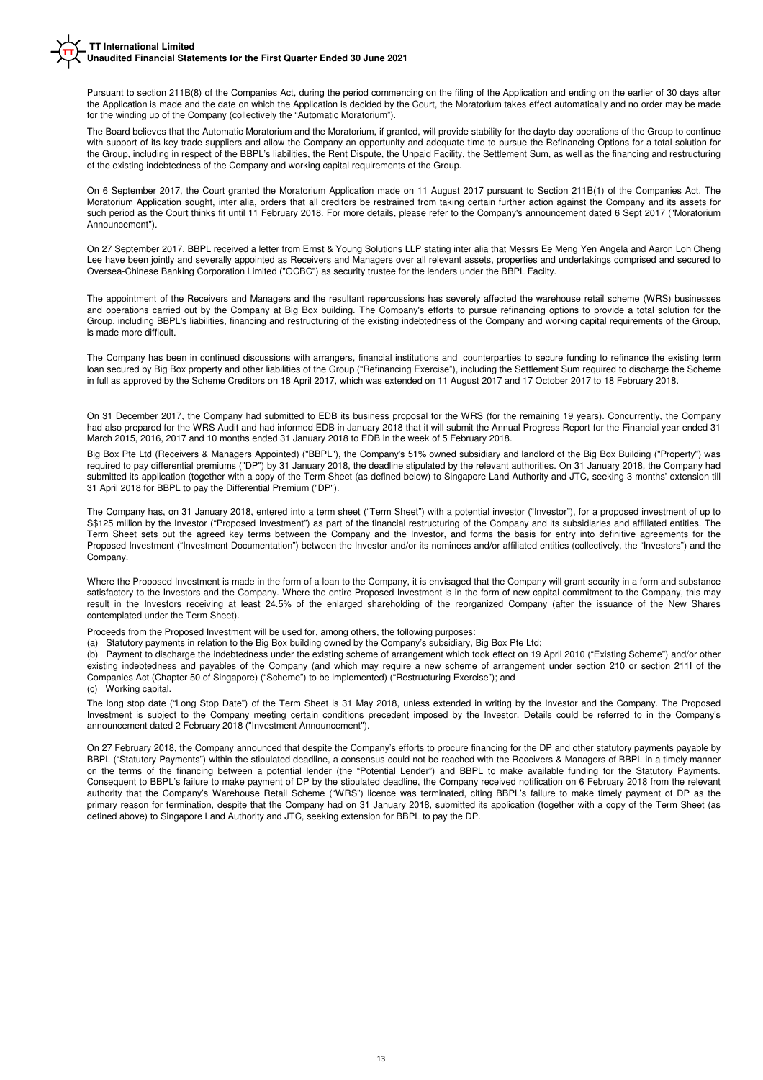Pursuant to section 211B(8) of the Companies Act, during the period commencing on the filing of the Application and ending on the earlier of 30 days after the Application is made and the date on which the Application is decided by the Court, the Moratorium takes effect automatically and no order may be made for the winding up of the Company (collectively the "Automatic Moratorium").

The Board believes that the Automatic Moratorium and the Moratorium, if granted, will provide stability for the dayto-day operations of the Group to continue with support of its key trade suppliers and allow the Company an opportunity and adequate time to pursue the Refinancing Options for a total solution for the Group, including in respect of the BBPL's liabilities, the Rent Dispute, the Unpaid Facility, the Settlement Sum, as well as the financing and restructuring of the existing indebtedness of the Company and working capital requirements of the Group.

On 6 September 2017, the Court granted the Moratorium Application made on 11 August 2017 pursuant to Section 211B(1) of the Companies Act. The Moratorium Application sought, inter alia, orders that all creditors be restrained from taking certain further action against the Company and its assets for such period as the Court thinks fit until 11 February 2018. For more details, please refer to the Company's announcement dated 6 Sept 2017 ("Moratorium Announcement").

On 27 September 2017, BBPL received a letter from Ernst & Young Solutions LLP stating inter alia that Messrs Ee Meng Yen Angela and Aaron Loh Cheng Lee have been jointly and severally appointed as Receivers and Managers over all relevant assets, properties and undertakings comprised and secured to Oversea-Chinese Banking Corporation Limited ("OCBC") as security trustee for the lenders under the BBPL Facilty.

The appointment of the Receivers and Managers and the resultant repercussions has severely affected the warehouse retail scheme (WRS) businesses and operations carried out by the Company at Big Box building. The Company's efforts to pursue refinancing options to provide a total solution for the Group, including BBPL's liabilities, financing and restructuring of the existing indebtedness of the Company and working capital requirements of the Group, is made more difficult.

The Company has been in continued discussions with arrangers, financial institutions and counterparties to secure funding to refinance the existing term loan secured by Big Box property and other liabilities of the Group ("Refinancing Exercise"), including the Settlement Sum required to discharge the Scheme in full as approved by the Scheme Creditors on 18 April 2017, which was extended on 11 August 2017 and 17 October 2017 to 18 February 2018.

On 31 December 2017, the Company had submitted to EDB its business proposal for the WRS (for the remaining 19 years). Concurrently, the Company had also prepared for the WRS Audit and had informed EDB in January 2018 that it will submit the Annual Progress Report for the Financial year ended 31 March 2015, 2016, 2017 and 10 months ended 31 January 2018 to EDB in the week of 5 February 2018.

Big Box Pte Ltd (Receivers & Managers Appointed) ("BBPL"), the Company's 51% owned subsidiary and landlord of the Big Box Building ("Property") was required to pay differential premiums ("DP") by 31 January 2018, the deadline stipulated by the relevant authorities. On 31 January 2018, the Company had submitted its application (together with a copy of the Term Sheet (as defined below) to Singapore Land Authority and JTC, seeking 3 months' extension till 31 April 2018 for BBPL to pay the Differential Premium ("DP").

The Company has, on 31 January 2018, entered into a term sheet ("Term Sheet") with a potential investor ("Investor"), for a proposed investment of up to S\$125 million by the Investor ("Proposed Investment") as part of the financial restructuring of the Company and its subsidiaries and affiliated entities. The Term Sheet sets out the agreed key terms between the Company and the Investor, and forms the basis for entry into definitive agreements for the Proposed Investment ("Investment Documentation") between the Investor and/or its nominees and/or affiliated entities (collectively, the "Investors") and the Company.

Where the Proposed Investment is made in the form of a loan to the Company, it is envisaged that the Company will grant security in a form and substance satisfactory to the Investors and the Company. Where the entire Proposed Investment is in the form of new capital commitment to the Company, this may result in the Investors receiving at least 24.5% of the enlarged shareholding of the reorganized Company (after the issuance of the New Shares contemplated under the Term Sheet).

Proceeds from the Proposed Investment will be used for, among others, the following purposes:

(a) Statutory payments in relation to the Big Box building owned by the Company's subsidiary, Big Box Pte Ltd;

Payment to discharge the indebtedness under the existing scheme of arrangement which took effect on 19 April 2010 ("Existing Scheme") and/or other existing indebtedness and payables of the Company (and which may require a new scheme of arrangement under section 210 or section 211I of the Companies Act (Chapter 50 of Singapore) ("Scheme") to be implemented) ("Restructuring Exercise"); and

(c) Working capital.

The long stop date ("Long Stop Date") of the Term Sheet is 31 May 2018, unless extended in writing by the Investor and the Company. The Proposed Investment is subject to the Company meeting certain conditions precedent imposed by the Investor. Details could be referred to in the Company's announcement dated 2 February 2018 ("Investment Announcement").

On 27 February 2018, the Company announced that despite the Company's efforts to procure financing for the DP and other statutory payments payable by BBPL ("Statutory Payments") within the stipulated deadline, a consensus could not be reached with the Receivers & Managers of BBPL in a timely manner on the terms of the financing between a potential lender (the "Potential Lender") and BBPL to make available funding for the Statutory Payments. Consequent to BBPL's failure to make payment of DP by the stipulated deadline, the Company received notification on 6 February 2018 from the relevant authority that the Company's Warehouse Retail Scheme ("WRS") licence was terminated, citing BBPL's failure to make timely payment of DP as the primary reason for termination, despite that the Company had on 31 January 2018, submitted its application (together with a copy of the Term Sheet (as defined above) to Singapore Land Authority and JTC, seeking extension for BBPL to pay the DP.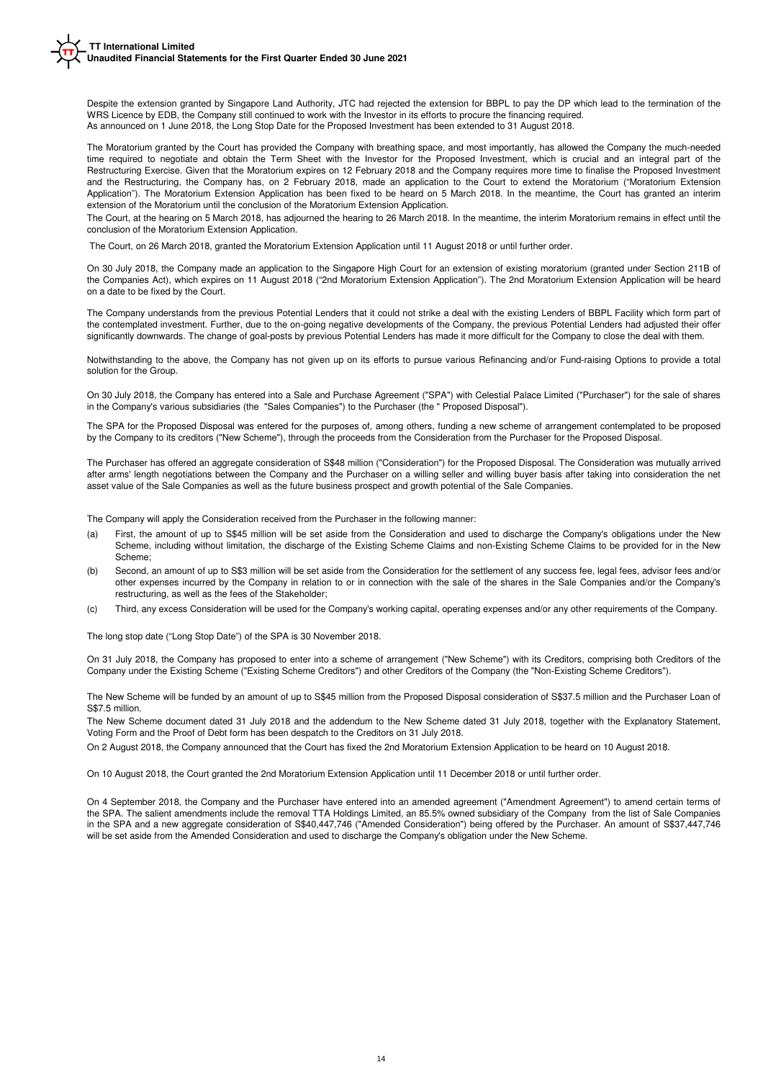As announced on 1 June 2018, the Long Stop Date for the Proposed Investment has been extended to 31 August 2018. Despite the extension granted by Singapore Land Authority, JTC had rejected the extension for BBPL to pay the DP which lead to the termination of the WRS Licence by EDB, the Company still continued to work with the Investor in its efforts to procure the financing required.

The Moratorium granted by the Court has provided the Company with breathing space, and most importantly, has allowed the Company the much-needed time required to negotiate and obtain the Term Sheet with the Investor for the Proposed Investment, which is crucial and an integral part of the Restructuring Exercise. Given that the Moratorium expires on 12 February 2018 and the Company requires more time to finalise the Proposed Investment and the Restructuring, the Company has, on 2 February 2018, made an application to the Court to extend the Moratorium ("Moratorium Extension Application"). The Moratorium Extension Application has been fixed to be heard on 5 March 2018. In the meantime, the Court has granted an interim extension of the Moratorium until the conclusion of the Moratorium Extension Application.

The Court, at the hearing on 5 March 2018, has adjourned the hearing to 26 March 2018. In the meantime, the interim Moratorium remains in effect until the conclusion of the Moratorium Extension Application.

The Court, on 26 March 2018, granted the Moratorium Extension Application until 11 August 2018 or until further order.

On 30 July 2018, the Company made an application to the Singapore High Court for an extension of existing moratorium (granted under Section 211B of the Companies Act), which expires on 11 August 2018 ("2nd Moratorium Extension Application"). The 2nd Moratorium Extension Application will be heard on a date to be fixed by the Court.

The Company understands from the previous Potential Lenders that it could not strike a deal with the existing Lenders of BBPL Facility which form part of the contemplated investment. Further, due to the on-going negative developments of the Company, the previous Potential Lenders had adjusted their offer significantly downwards. The change of goal-posts by previous Potential Lenders has made it more difficult for the Company to close the deal with them.

Notwithstanding to the above, the Company has not given up on its efforts to pursue various Refinancing and/or Fund-raising Options to provide a total solution for the Group.

On 30 July 2018, the Company has entered into a Sale and Purchase Agreement ("SPA") with Celestial Palace Limited ("Purchaser") for the sale of shares in the Company's various subsidiaries (the "Sales Companies") to the Purchaser (the " Proposed Disposal").

The SPA for the Proposed Disposal was entered for the purposes of, among others, funding a new scheme of arrangement contemplated to be proposed by the Company to its creditors ("New Scheme"), through the proceeds from the Consideration from the Purchaser for the Proposed Disposal.

The Purchaser has offered an aggregate consideration of S\$48 million ("Consideration") for the Proposed Disposal. The Consideration was mutually arrived after arms' length negotiations between the Company and the Purchaser on a willing seller and willing buyer basis after taking into consideration the net asset value of the Sale Companies as well as the future business prospect and growth potential of the Sale Companies.

The Company will apply the Consideration received from the Purchaser in the following manner:

- (a) First, the amount of up to S\$45 million will be set aside from the Consideration and used to discharge the Company's obligations under the New Scheme, including without limitation, the discharge of the Existing Scheme Claims and non-Existing Scheme Claims to be provided for in the New Scheme;
- (b) Second, an amount of up to S\$3 million will be set aside from the Consideration for the settlement of any success fee, legal fees, advisor fees and/or other expenses incurred by the Company in relation to or in connection with the sale of the shares in the Sale Companies and/or the Company's restructuring, as well as the fees of the Stakeholder;
- (c) Third, any excess Consideration will be used for the Company's working capital, operating expenses and/or any other requirements of the Company.

The long stop date ("Long Stop Date") of the SPA is 30 November 2018.

On 31 July 2018, the Company has proposed to enter into a scheme of arrangement ("New Scheme") with its Creditors, comprising both Creditors of the Company under the Existing Scheme ("Existing Scheme Creditors") and other Creditors of the Company (the "Non-Existing Scheme Creditors").

The New Scheme will be funded by an amount of up to S\$45 million from the Proposed Disposal consideration of S\$37.5 million and the Purchaser Loan of S\$7.5 million.

The New Scheme document dated 31 July 2018 and the addendum to the New Scheme dated 31 July 2018, together with the Explanatory Statement, Voting Form and the Proof of Debt form has been despatch to the Creditors on 31 July 2018.

On 2 August 2018, the Company announced that the Court has fixed the 2nd Moratorium Extension Application to be heard on 10 August 2018.

On 10 August 2018, the Court granted the 2nd Moratorium Extension Application until 11 December 2018 or until further order.

On 4 September 2018, the Company and the Purchaser have entered into an amended agreement ("Amendment Agreement") to amend certain terms of the SPA. The salient amendments include the removal TTA Holdings Limited, an 85.5% owned subsidiary of the Company from the list of Sale Companies in the SPA and a new aggregate consideration of S\$40,447,746 ("Amended Consideration") being offered by the Purchaser. An amount of S\$37,447,746 will be set aside from the Amended Consideration and used to discharge the Company's obligation under the New Scheme.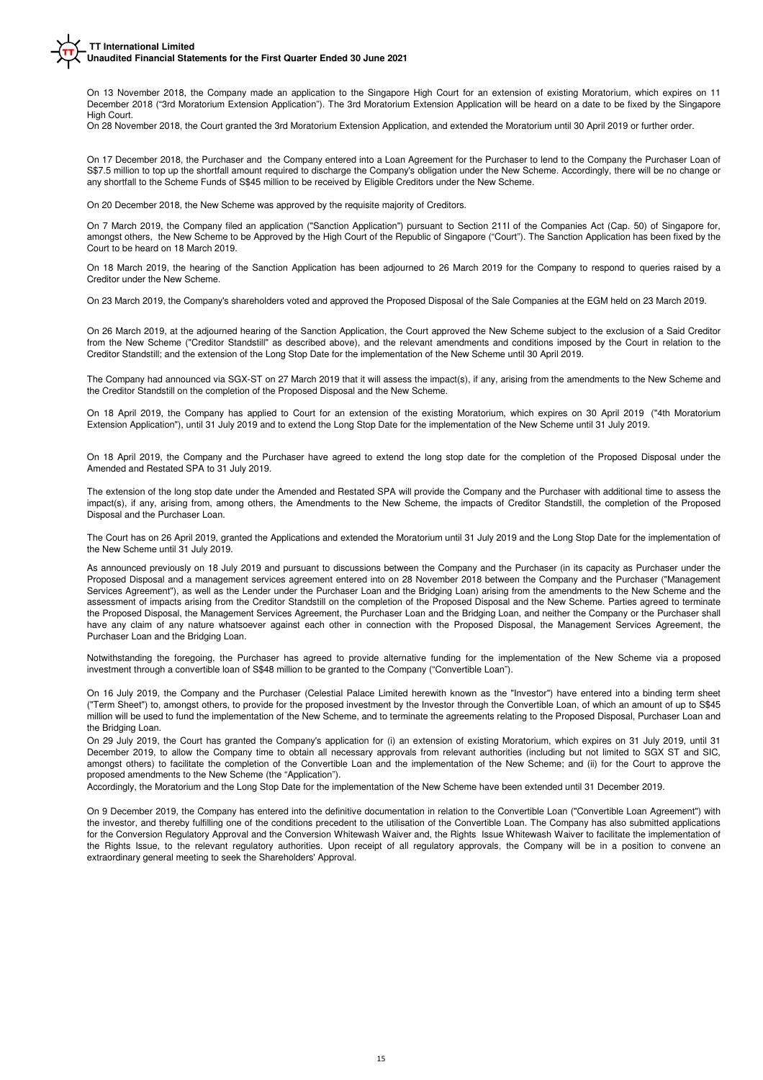On 13 November 2018, the Company made an application to the Singapore High Court for an extension of existing Moratorium, which expires on 11 December 2018 ("3rd Moratorium Extension Application"). The 3rd Moratorium Extension Application will be heard on a date to be fixed by the Singapore High Court.

On 28 November 2018, the Court granted the 3rd Moratorium Extension Application, and extended the Moratorium until 30 April 2019 or further order.

On 17 December 2018, the Purchaser and the Company entered into a Loan Agreement for the Purchaser to lend to the Company the Purchaser Loan of S\$7.5 million to top up the shortfall amount required to discharge the Company's obligation under the New Scheme. Accordingly, there will be no change or any shortfall to the Scheme Funds of S\$45 million to be received by Eligible Creditors under the New Scheme.

On 20 December 2018, the New Scheme was approved by the requisite majority of Creditors.

On 7 March 2019, the Company filed an application ("Sanction Application") pursuant to Section 211I of the Companies Act (Cap. 50) of Singapore for, amongst others, the New Scheme to be Approved by the High Court of the Republic of Singapore ("Court"). The Sanction Application has been fixed by the Court to be heard on 18 March 2019.

On 18 March 2019, the hearing of the Sanction Application has been adjourned to 26 March 2019 for the Company to respond to queries raised by a Creditor under the New Scheme.

On 23 March 2019, the Company's shareholders voted and approved the Proposed Disposal of the Sale Companies at the EGM held on 23 March 2019.

On 26 March 2019, at the adjourned hearing of the Sanction Application, the Court approved the New Scheme subject to the exclusion of a Said Creditor from the New Scheme ("Creditor Standstill" as described above), and the relevant amendments and conditions imposed by the Court in relation to the Creditor Standstill; and the extension of the Long Stop Date for the implementation of the New Scheme until 30 April 2019.

The Company had announced via SGX-ST on 27 March 2019 that it will assess the impact(s), if any, arising from the amendments to the New Scheme and the Creditor Standstill on the completion of the Proposed Disposal and the New Scheme.

On 18 April 2019, the Company has applied to Court for an extension of the existing Moratorium, which expires on 30 April 2019 ("4th Moratorium Extension Application"), until 31 July 2019 and to extend the Long Stop Date for the implementation of the New Scheme until 31 July 2019.

On 18 April 2019, the Company and the Purchaser have agreed to extend the long stop date for the completion of the Proposed Disposal under the Amended and Restated SPA to 31 July 2019.

The extension of the long stop date under the Amended and Restated SPA will provide the Company and the Purchaser with additional time to assess the impact(s), if any, arising from, among others, the Amendments to the New Scheme, the impacts of Creditor Standstill, the completion of the Proposed Disposal and the Purchaser Loan.

The Court has on 26 April 2019, granted the Applications and extended the Moratorium until 31 July 2019 and the Long Stop Date for the implementation of the New Scheme until 31 July 2019.

As announced previously on 18 July 2019 and pursuant to discussions between the Company and the Purchaser (in its capacity as Purchaser under the Proposed Disposal and a management services agreement entered into on 28 November 2018 between the Company and the Purchaser ("Management Services Agreement"), as well as the Lender under the Purchaser Loan and the Bridging Loan) arising from the amendments to the New Scheme and the assessment of impacts arising from the Creditor Standstill on the completion of the Proposed Disposal and the New Scheme. Parties agreed to terminate the Proposed Disposal, the Management Services Agreement, the Purchaser Loan and the Bridging Loan, and neither the Company or the Purchaser shall have any claim of any nature whatsoever against each other in connection with the Proposed Disposal, the Management Services Agreement, the Purchaser Loan and the Bridging Loan.

Notwithstanding the foregoing, the Purchaser has agreed to provide alternative funding for the implementation of the New Scheme via a proposed investment through a convertible loan of S\$48 million to be granted to the Company ("Convertible Loan").

On 16 July 2019, the Company and the Purchaser (Celestial Palace Limited herewith known as the "Investor") have entered into a binding term sheet ("Term Sheet") to, amongst others, to provide for the proposed investment by the Investor through the Convertible Loan, of which an amount of up to S\$45 million will be used to fund the implementation of the New Scheme, and to terminate the agreements relating to the Proposed Disposal, Purchaser Loan and the Bridging Loan.

On 29 July 2019, the Court has granted the Company's application for (i) an extension of existing Moratorium, which expires on 31 July 2019, until 31 December 2019, to allow the Company time to obtain all necessary approvals from relevant authorities (including but not limited to SGX ST and SIC, amongst others) to facilitate the completion of the Convertible Loan and the implementation of the New Scheme; and (ii) for the Court to approve the proposed amendments to the New Scheme (the "Application").

Accordingly, the Moratorium and the Long Stop Date for the implementation of the New Scheme have been extended until 31 December 2019.

On 9 December 2019, the Company has entered into the definitive documentation in relation to the Convertible Loan ("Convertible Loan Agreement") with the investor, and thereby fulfilling one of the conditions precedent to the utilisation of the Convertible Loan. The Company has also submitted applications for the Conversion Regulatory Approval and the Conversion Whitewash Waiver and, the Rights Issue Whitewash Waiver to facilitate the implementation of the Rights Issue, to the relevant regulatory authorities. Upon receipt of all regulatory approvals, the Company will be in a position to convene an extraordinary general meeting to seek the Shareholders' Approval.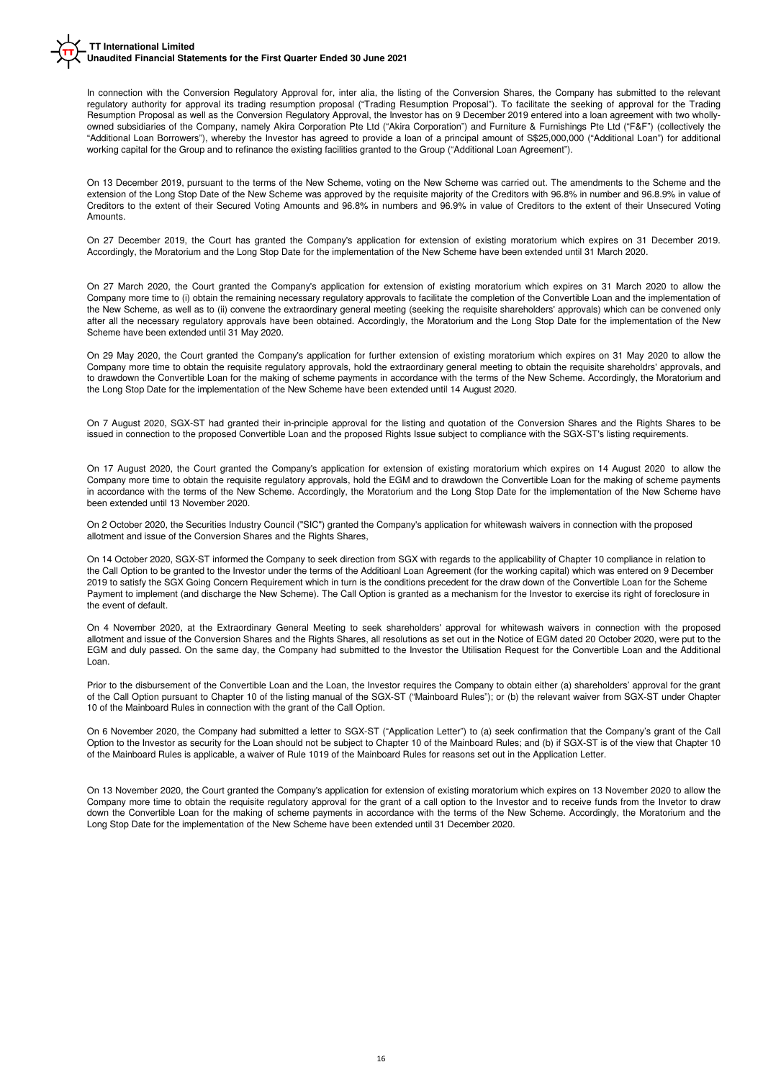In connection with the Conversion Regulatory Approval for, inter alia, the listing of the Conversion Shares, the Company has submitted to the relevant regulatory authority for approval its trading resumption proposal ("Trading Resumption Proposal"). To facilitate the seeking of approval for the Trading Resumption Proposal as well as the Conversion Regulatory Approval, the Investor has on 9 December 2019 entered into a loan agreement with two whollyowned subsidiaries of the Company, namely Akira Corporation Pte Ltd ("Akira Corporation") and Furniture & Furnishings Pte Ltd ("F&F") (collectively the "Additional Loan Borrowers"), whereby the Investor has agreed to provide a loan of a principal amount of S\$25,000,000 ("Additional Loan") for additional working capital for the Group and to refinance the existing facilities granted to the Group ("Additional Loan Agreement").

On 13 December 2019, pursuant to the terms of the New Scheme, voting on the New Scheme was carried out. The amendments to the Scheme and the extension of the Long Stop Date of the New Scheme was approved by the requisite majority of the Creditors with 96.8% in number and 96.8.9% in value of Creditors to the extent of their Secured Voting Amounts and 96.8% in numbers and 96.9% in value of Creditors to the extent of their Unsecured Voting Amounts.

On 27 December 2019, the Court has granted the Company's application for extension of existing moratorium which expires on 31 December 2019. Accordingly, the Moratorium and the Long Stop Date for the implementation of the New Scheme have been extended until 31 March 2020.

On 27 March 2020, the Court granted the Company's application for extension of existing moratorium which expires on 31 March 2020 to allow the Company more time to (i) obtain the remaining necessary regulatory approvals to facilitate the completion of the Convertible Loan and the implementation of the New Scheme, as well as to (ii) convene the extraordinary general meeting (seeking the requisite shareholders' approvals) which can be convened only after all the necessary regulatory approvals have been obtained. Accordingly, the Moratorium and the Long Stop Date for the implementation of the New Scheme have been extended until 31 May 2020.

On 29 May 2020, the Court granted the Company's application for further extension of existing moratorium which expires on 31 May 2020 to allow the Company more time to obtain the requisite regulatory approvals, hold the extraordinary general meeting to obtain the requisite shareholdrs' approvals, and to drawdown the Convertible Loan for the making of scheme payments in accordance with the terms of the New Scheme. Accordingly, the Moratorium and the Long Stop Date for the implementation of the New Scheme have been extended until 14 August 2020.

On 7 August 2020, SGX-ST had granted their in-principle approval for the listing and quotation of the Conversion Shares and the Rights Shares to be issued in connection to the proposed Convertible Loan and the proposed Rights Issue subject to compliance with the SGX-ST's listing requirements.

On 17 August 2020, the Court granted the Company's application for extension of existing moratorium which expires on 14 August 2020 to allow the Company more time to obtain the requisite regulatory approvals, hold the EGM and to drawdown the Convertible Loan for the making of scheme payments in accordance with the terms of the New Scheme. Accordingly, the Moratorium and the Long Stop Date for the implementation of the New Scheme have been extended until 13 November 2020.

On 2 October 2020, the Securities Industry Council ("SIC") granted the Company's application for whitewash waivers in connection with the proposed allotment and issue of the Conversion Shares and the Rights Shares,

On 14 October 2020, SGX-ST informed the Company to seek direction from SGX with regards to the applicability of Chapter 10 compliance in relation to the Call Option to be granted to the Investor under the terms of the Additioanl Loan Agreement (for the working capital) which was entered on 9 December 2019 to satisfy the SGX Going Concern Requirement which in turn is the conditions precedent for the draw down of the Convertible Loan for the Scheme Payment to implement (and discharge the New Scheme). The Call Option is granted as a mechanism for the Investor to exercise its right of foreclosure in the event of default.

On 4 November 2020, at the Extraordinary General Meeting to seek shareholders' approval for whitewash waivers in connection with the proposed allotment and issue of the Conversion Shares and the Rights Shares, all resolutions as set out in the Notice of EGM dated 20 October 2020, were put to the EGM and duly passed. On the same day, the Company had submitted to the Investor the Utilisation Request for the Convertible Loan and the Additional Loan.

Prior to the disbursement of the Convertible Loan and the Loan, the Investor requires the Company to obtain either (a) shareholders' approval for the grant of the Call Option pursuant to Chapter 10 of the listing manual of the SGX-ST ("Mainboard Rules"); or (b) the relevant waiver from SGX-ST under Chapter 10 of the Mainboard Rules in connection with the grant of the Call Option.

On 6 November 2020, the Company had submitted a letter to SGX-ST ("Application Letter") to (a) seek confirmation that the Company's grant of the Call Option to the Investor as security for the Loan should not be subject to Chapter 10 of the Mainboard Rules; and (b) if SGX-ST is of the view that Chapter 10 of the Mainboard Rules is applicable, a waiver of Rule 1019 of the Mainboard Rules for reasons set out in the Application Letter.

On 13 November 2020, the Court granted the Company's application for extension of existing moratorium which expires on 13 November 2020 to allow the Company more time to obtain the requisite regulatory approval for the grant of a call option to the Investor and to receive funds from the Invetor to draw down the Convertible Loan for the making of scheme payments in accordance with the terms of the New Scheme. Accordingly, the Moratorium and the Long Stop Date for the implementation of the New Scheme have been extended until 31 December 2020.